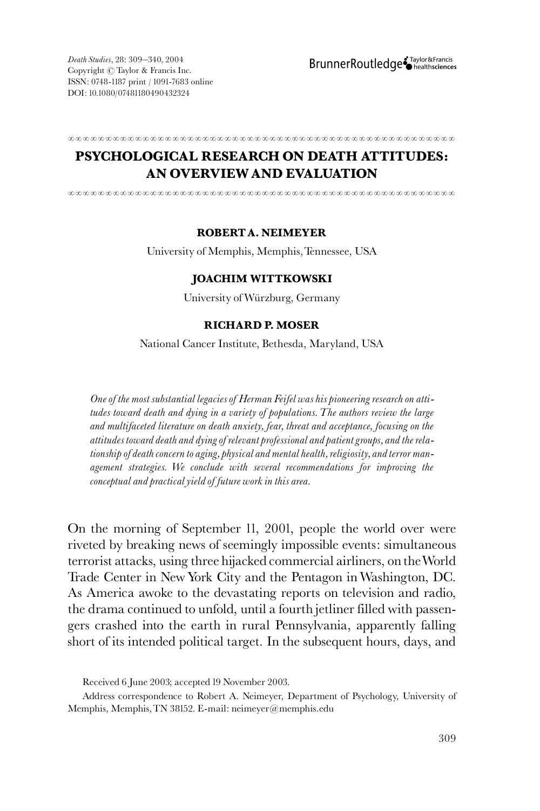**BrunnerRoutledge** *Breatthsciences* 

Death Studies, 28: 309-340, 2004 Copyright  $\odot$  Taylor & Francis Inc. ISSN: 0748-1187 print / 1091-7683 online DOI: 10.1080/07481180490432324

# PSYCHOLOGICAL RESEARCH ON DEATH ATTITUDES: AN OVERVIEW AND EVALUATION

????????????????????????????????????????????????????

????????????????????????????????????????????????????

#### ROBERT A. NEIMEYER

University of Memphis, Memphis,Tennessee, USA

#### JOACHIM WITTKOWSKI

University of Würzburg, Germany

#### RICHARD P. MOSER

National Cancer Institute, Bethesda, Maryland, USA

One of the most substantial legacies of Herman Feifel was his pioneering research on attitudes toward death and dying in a variety of populations.The authors review the large and multifaceted literature on death anxiety, fear, threat and acceptance, focusing on the attitudes toward death and dying of relevant professional and patient groups, and the relationship ofdeath concern to aging, physical and mental health, religiosity, and terror management strategies. We conclude with several recommendations for improving the conceptual and practical yield of future work in this area.

On the morning of September 11, 2001, people the world over were riveted by breaking news of seemingly impossible events: simultaneous terrorist attacks, using three hijacked commercial airliners, on theWorld Trade Center in New York City and the Pentagon inWashington, DC. As America awoke to the devastating reports on television and radio, the drama continued to unfold, until a fourth jetliner filled with passengers crashed into the earth in rural Pennsylvania, apparently falling short of its intended political target. In the subsequent hours, days, and

Received 6 June 2003; accepted 19 November 2003.

Address correspondence to Robert A. Neimeyer, Department of Psychology, University of Memphis, Memphis,TN 38152. E-mail: neimeyer@memphis.edu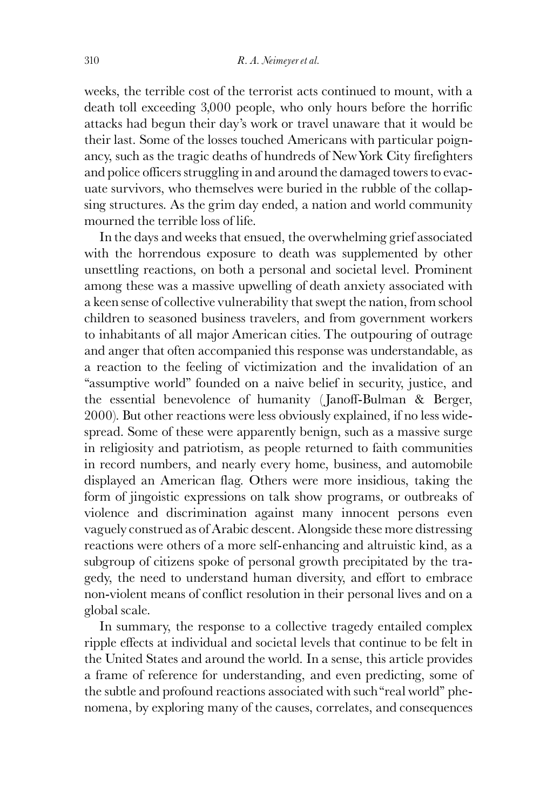weeks, the terrible cost of the terrorist acts continued to mount, with a death toll exceeding 3,000 people, who only hours before the horrific attacks had begun their day's work or travel unaware that it would be their last. Some of the losses touched Americans with particular poignancy, such as the tragic deaths of hundreds of NewYork City firefighters and police officers struggling in and around the damaged towers to evacuate survivors, who themselves were buried in the rubble of the collapsing structures. As the grim day ended, a nation and world community mourned the terrible loss of life.

In the days and weeks that ensued, the overwhelming grief associated with the horrendous exposure to death was supplemented by other unsettling reactions, on both a personal and societal level. Prominent among these was a massive upwelling of death anxiety associated with a keen sense of collective vulnerability that swept the nation, from school children to seasoned business travelers, and from government workers to inhabitants of all major American cities. The outpouring of outrage and anger that often accompanied this response was understandable, as a reaction to the feeling of victimization and the invalidation of an "assumptive world" founded on a naive belief in security, justice, and the essential benevolence of humanity (Janoff-Bulman & Berger, 2000). But other reactions were less obviously explained, if no less widespread. Some of these were apparently benign, such as a massive surge in religiosity and patriotism, as people returned to faith communities in record numbers, and nearly every home, business, and automobile displayed an American flag. Others were more insidious, taking the form of jingoistic expressions on talk show programs, or outbreaks of violence and discrimination against many innocent persons even vaguely construed as of Arabic descent. Alongside these more distressing reactions were others of a more self-enhancing and altruistic kind, as a subgroup of citizens spoke of personal growth precipitated by the tragedy, the need to understand human diversity, and effort to embrace non-violent means of conflict resolution in their personal lives and on a global scale.

In summary, the response to a collective tragedy entailed complex ripple effects at individual and societal levels that continue to be felt in the United States and around the world. In a sense, this article provides a frame of reference for understanding, and even predicting, some of the subtle and profound reactions associated with such "real world" phenomena, by exploring many of the causes, correlates, and consequences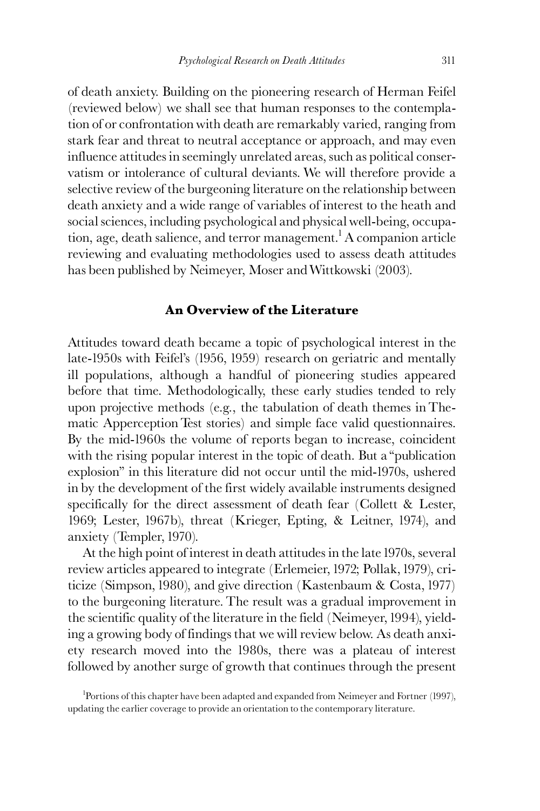of death anxiety. Building on the pioneering research of Herman Feifel (reviewed below) we shall see that human responses to the contemplation of or confrontation with death are remarkably varied, ranging from stark fear and threat to neutral acceptance or approach, and may even influence attitudes in seemingly unrelated areas, such as political conservatism or intolerance of cultural deviants. We will therefore provide a selective review of the burgeoning literature on the relationship between death anxiety and a wide range of variables of interest to the heath and social sciences, including psychological and physical well-being, occupation, age, death salience, and terror management.<sup>1</sup> A companion article reviewing and evaluating methodologies used to assess death attitudes has been published by Neimeyer, Moser andWittkowski (2003).

# An Overview of the Literature

Attitudes toward death became a topic of psychological interest in the late-1950s with Feifel's (1956, 1959) research on geriatric and mentally ill populations, although a handful of pioneering studies appeared before that time. Methodologically, these early studies tended to rely upon projective methods (e.g., the tabulation of death themes in Thematic Apperception Test stories) and simple face valid questionnaires. By the mid-1960s the volume of reports began to increase, coincident with the rising popular interest in the topic of death. But a "publication" explosion'' in this literature did not occur until the mid-1970s, ushered in by the development of the first widely available instruments designed specifically for the direct assessment of death fear (Collett & Lester, 1969; Lester, 1967b), threat (Krieger, Epting, & Leitner, 1974), and anxiety (Templer, 1970).

At the high point of interest in death attitudes in the late 1970s, several review articles appeared to integrate (Erlemeier, 1972; Pollak, 1979), criticize (Simpson, 1980), and give direction (Kastenbaum & Costa, 1977) to the burgeoning literature. The result was a gradual improvement in the scientific quality of the literature in the field (Neimeyer, 1994), yielding a growing body of findings that we will review below. As death anxiety research moved into the 1980s, there was a plateau of interest followed by another surge of growth that continues through the present

<sup>&</sup>lt;sup>1</sup>Portions of this chapter have been adapted and expanded from Neimeyer and Fortner (1997), updating the earlier coverage to provide an orientation to the contemporary literature.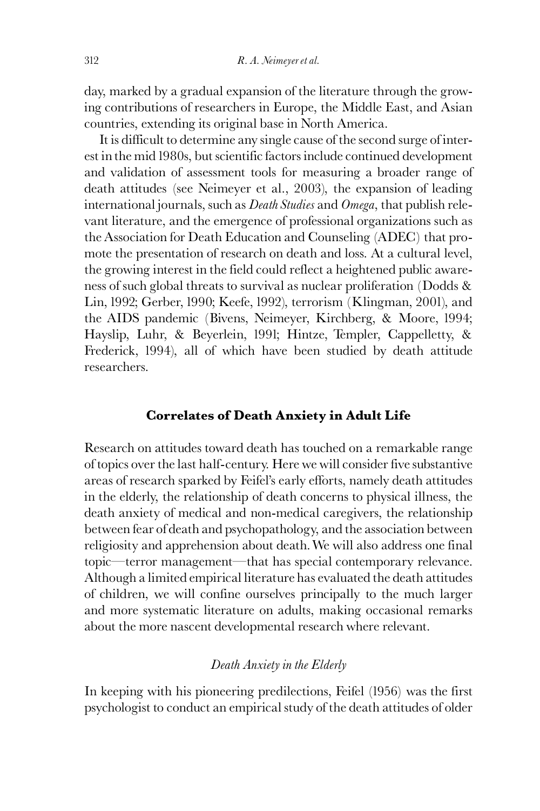day, marked by a gradual expansion of the literature through the growing contributions of researchers in Europe, the Middle East, and Asian countries, extending its original base in North America.

It is difficult to determine any single cause of the second surge of interest in the mid1980s, but scientific factors include continued development and validation of assessment tools for measuring a broader range of death attitudes (see Neimeyer et al., 2003), the expansion of leading international journals, such as Death Studies and Omega, that publish relevant literature, and the emergence of professional organizations such as the Association for Death Education and Counseling (ADEC) that promote the presentation of research on death and loss. At a cultural level, the growing interest in the field could reflect a heightened public awareness of such global threats to survival as nuclear proliferation (Dodds & Lin, 1992; Gerber, 1990; Keefe, 1992), terrorism (Klingman, 2001), and the AIDS pandemic (Bivens, Neimeyer, Kirchberg, & Moore, 1994; Hayslip, Luhr, & Beyerlein, 1991; Hintze, Templer, Cappelletty, & Frederick, 1994), all of which have been studied by death attitude researchers.

## Correlates of Death Anxiety in Adult Life

Research on attitudes toward death has touched on a remarkable range of topics over the last half-century. Here we will consider five substantive areas of research sparked by Feifel's early efforts, namely death attitudes in the elderly, the relationship of death concerns to physical illness, the death anxiety of medical and non-medical caregivers, the relationship between fear of death and psychopathology, and the association between religiosity and apprehension about death.We will also address one final topic-terror management-that has special contemporary relevance. Although a limited empirical literature has evaluated the death attitudes of children, we will confine ourselves principally to the much larger and more systematic literature on adults, making occasional remarks about the more nascent developmental research where relevant.

## Death Anxiety in the Elderly

In keeping with his pioneering predilections, Feifel (1956) was the first psychologist to conduct an empirical study of the death attitudes of older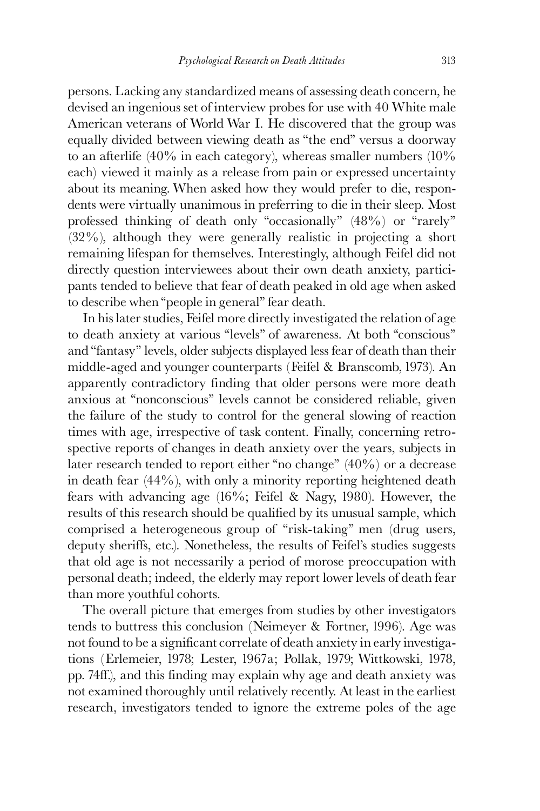persons. Lacking any standardized means of assessing death concern, he devised an ingenious set of interview probes for use with 40 White male American veterans of World War I. He discovered that the group was equally divided between viewing death as "the end" versus a doorway to an afterlife  $(40\%$  in each category), whereas smaller numbers  $(10\%$ each) viewed it mainly as a release from pain or expressed uncertainty about its meaning. When asked how they would prefer to die, respondents were virtually unanimous in preferring to die in their sleep. Most professed thinking of death only "occasionally" (48%) or "rarely" (32%), although they were generally realistic in projecting a short remaining lifespan for themselves. Interestingly, although Feifel did not directly question interviewees about their own death anxiety, participants tended to believe that fear of death peaked in old age when asked to describe when''people in general'' fear death.

In his later studies, Feifel more directly investigated the relation of age to death anxiety at various ''levels'' of awareness. At both ''conscious'' and''fantasy'' levels, older subjects displayed less fear of death than their middle-aged and younger counterparts (Feifel & Branscomb, 1973). An apparently contradictory finding that older persons were more death anxious at ''nonconscious'' levels cannot be considered reliable, given the failure of the study to control for the general slowing of reaction times with age, irrespective of task content. Finally, concerning retrospective reports of changes in death anxiety over the years, subjects in later research tended to report either "no change" (40%) or a decrease in death fear (44%), with only a minority reporting heightened death fears with advancing age (16%; Feifel & Nagy, 1980). However, the results of this research should be qualified by its unusual sample, which comprised a heterogeneous group of "risk-taking" men (drug users, deputy sheriffs, etc.). Nonetheless, the results of Feifel's studies suggests that old age is not necessarily a period of morose preoccupation with personal death; indeed, the elderly may report lower levels of death fear than more youthful cohorts.

The overall picture that emerges from studies by other investigators tends to buttress this conclusion (Neimeyer & Fortner, 1996). Age was not found to be a significant correlate of death anxiety in early investigations (Erlemeier, 1978; Lester, 1967a; Pollak, 1979; Wittkowski, 1978, pp. 74ff.), and this finding may explain why age and death anxiety was not examined thoroughly until relatively recently. At least in the earliest research, investigators tended to ignore the extreme poles of the age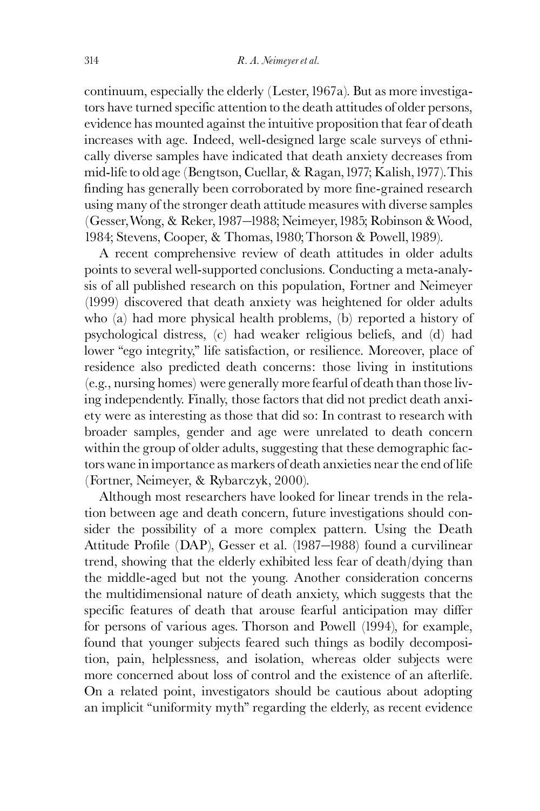continuum, especially the elderly (Lester, 1967a). But as more investigators have turned specific attention to the death attitudes of older persons, evidence has mounted against the intuitive proposition that fear of death increases with age. Indeed, well-designed large scale surveys of ethnically diverse samples have indicated that death anxiety decreases from mid-life to old age (Bengtson, Cuellar, & Ragan,1977; Kalish,1977).This finding has generally been corroborated by more fine-grained research using many of the stronger death attitude measures with diverse samples (Gesser, Wong, & Reker, 1987–1988; Neimeyer, 1985; Robinson & Wood, 1984; Stevens, Cooper, & Thomas,1980;Thorson & Powell,1989).

A recent comprehensive review of death attitudes in older adults points to several well-supported conclusions. Conducting a meta-analysis of all published research on this population, Fortner and Neimeyer (1999) discovered that death anxiety was heightened for older adults who (a) had more physical health problems, (b) reported a history of psychological distress, (c) had weaker religious beliefs, and (d) had lower "ego integrity," life satisfaction, or resilience. Moreover, place of residence also predicted death concerns: those living in institutions (e.g., nursing homes) were generally more fearful of death than those living independently. Finally, those factors that did not predict death anxiety were as interesting as those that did so: In contrast to research with broader samples, gender and age were unrelated to death concern within the group of older adults, suggesting that these demographic factors wane in importance as markers of death anxieties near the end of life (Fortner, Neimeyer, & Rybarczyk, 2000).

Although most researchers have looked for linear trends in the relation between age and death concern, future investigations should consider the possibility of a more complex pattern. Using the Death Attitude Profile (DAP), Gesser et al. (1987–1988) found a curvilinear trend, showing that the elderly exhibited less fear of death/dying than the middle-aged but not the young. Another consideration concerns the multidimensional nature of death anxiety, which suggests that the specific features of death that arouse fearful anticipation may differ for persons of various ages. Thorson and Powell (1994), for example, found that younger subjects feared such things as bodily decomposition, pain, helplessness, and isolation, whereas older subjects were more concerned about loss of control and the existence of an afterlife. On a related point, investigators should be cautious about adopting an implicit ''uniformity myth'' regarding the elderly, as recent evidence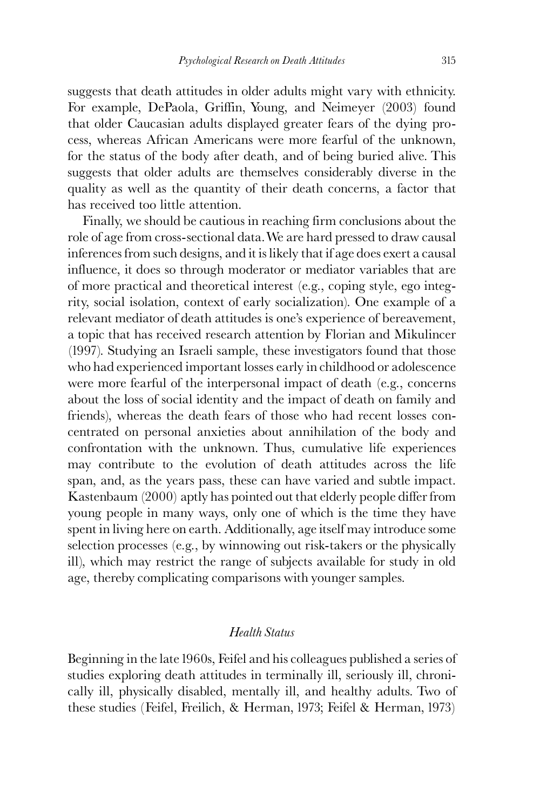suggests that death attitudes in older adults might vary with ethnicity. For example, DePaola, Griffin, Young, and Neimeyer (2003) found that older Caucasian adults displayed greater fears of the dying process, whereas African Americans were more fearful of the unknown, for the status of the body after death, and of being buried alive. This suggests that older adults are themselves considerably diverse in the quality as well as the quantity of their death concerns, a factor that has received too little attention.

Finally, we should be cautious in reaching firm conclusions about the role of age from cross-sectional data.We are hard pressed to draw causal inferences from such designs, and it is likely that if age does exert a causal influence, it does so through moderator or mediator variables that are of more practical and theoretical interest (e.g., coping style, ego integrity, social isolation, context of early socialization). One example of a relevant mediator of death attitudes is one's experience of bereavement, a topic that has received research attention by Florian and Mikulincer (1997). Studying an Israeli sample, these investigators found that those who had experienced important losses early in childhood or adolescence were more fearful of the interpersonal impact of death (e.g., concerns about the loss of social identity and the impact of death on family and friends), whereas the death fears of those who had recent losses concentrated on personal anxieties about annihilation of the body and confrontation with the unknown. Thus, cumulative life experiences may contribute to the evolution of death attitudes across the life span, and, as the years pass, these can have varied and subtle impact. Kastenbaum (2000) aptly has pointed out that elderly people differ from young people in many ways, only one of which is the time they have spent in living here on earth. Additionally, age itself may introduce some selection processes (e.g., by winnowing out risk-takers or the physically ill), which may restrict the range of subjects available for study in old age, thereby complicating comparisons with younger samples.

## Health Status

Beginning in the late 1960s, Feifel and his colleagues published a series of studies exploring death attitudes in terminally ill, seriously ill, chronically ill, physically disabled, mentally ill, and healthy adults. Two of these studies (Feifel, Freilich, & Herman, 1973; Feifel & Herman, 1973)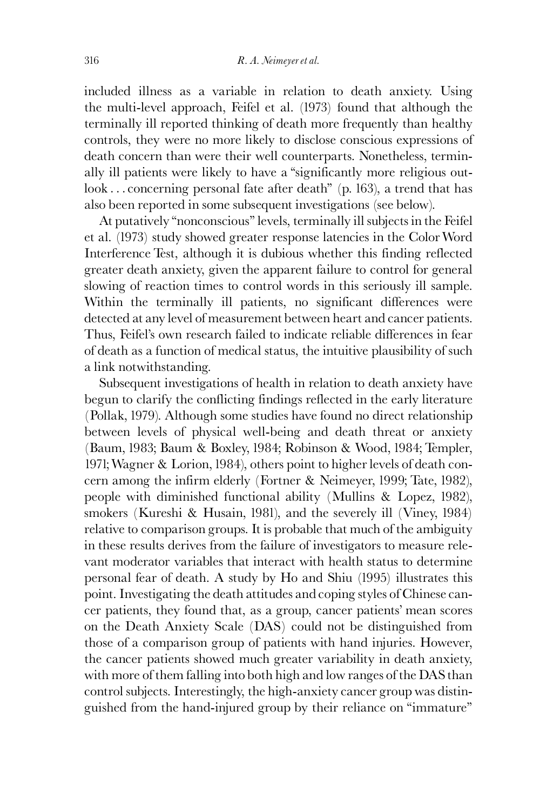included illness as a variable in relation to death anxiety. Using the multi-level approach, Feifel et al. (1973) found that although the terminally ill reported thinking of death more frequently than healthy controls, they were no more likely to disclose conscious expressions of death concern than were their well counterparts. Nonetheless, terminally ill patients were likely to have a ''significantly more religious outlook ... concerning personal fate after death" (p. 163), a trend that has also been reported in some subsequent investigations (see below).

At putatively''nonconscious'' levels, terminally ill subjects in the Feifel et al. (1973) study showed greater response latencies in the ColorWord Interference Test, although it is dubious whether this finding reflected greater death anxiety, given the apparent failure to control for general slowing of reaction times to control words in this seriously ill sample. Within the terminally ill patients, no significant differences were detected at any level of measurement between heart and cancer patients. Thus, Feifel's own research failed to indicate reliable differences in fear of death as a function of medical status, the intuitive plausibility of such a link notwithstanding.

Subsequent investigations of health in relation to death anxiety have begun to clarify the conflicting findings reflected in the early literature (Pollak, 1979). Although some studies have found no direct relationship between levels of physical well-being and death threat or anxiety (Baum, 1983; Baum & Boxley, 1984; Robinson & Wood, 1984; Templer, 1971;Wagner & Lorion, 1984), others point to higher levels of death concern among the infirm elderly (Fortner & Neimeyer, 1999; Tate, 1982), people with diminished functional ability (Mullins & Lopez, 1982), smokers (Kureshi & Husain, 1981), and the severely ill (Viney, 1984) relative to comparison groups. It is probable that much of the ambiguity in these results derives from the failure of investigators to measure relevant moderator variables that interact with health status to determine personal fear of death. A study by Ho and Shiu (1995) illustrates this point. Investigating the death attitudes and coping styles of Chinese cancer patients, they found that, as a group, cancer patients' mean scores on the Death Anxiety Scale (DAS) could not be distinguished from those of a comparison group of patients with hand injuries. However, the cancer patients showed much greater variability in death anxiety, with more of them falling into both high and low ranges of the DAS than control subjects. Interestingly, the high-anxiety cancer group was distinguished from the hand-injured group by their reliance on ''immature''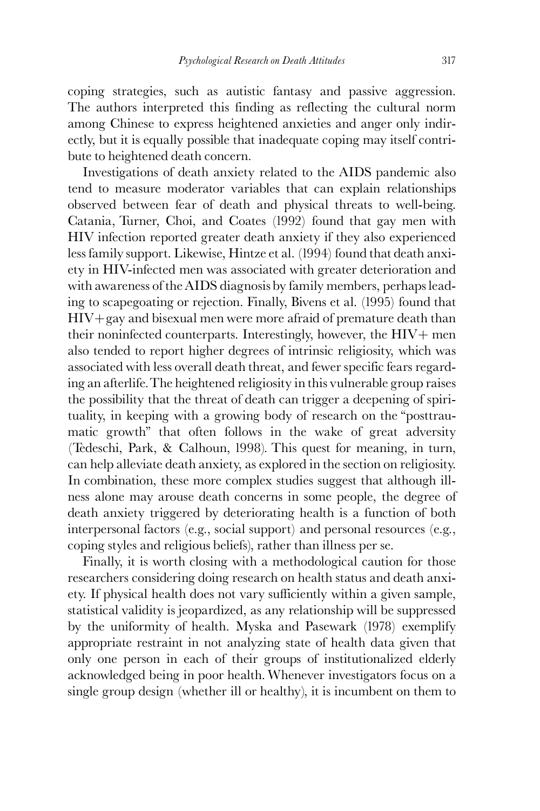coping strategies, such as autistic fantasy and passive aggression. The authors interpreted this finding as reflecting the cultural norm among Chinese to express heightened anxieties and anger only indirectly, but it is equally possible that inadequate coping may itself contribute to heightened death concern.

Investigations of death anxiety related to the AIDS pandemic also tend to measure moderator variables that can explain relationships observed between fear of death and physical threats to well-being. Catania, Turner, Choi, and Coates (1992) found that gay men with HIV infection reported greater death anxiety if they also experienced less family support. Likewise, Hintze et al. (1994) found that death anxiety in HIV-infected men was associated with greater deterioration and with awareness of the AIDS diagnosis by family members, perhaps leading to scapegoating or rejection. Finally, Bivens et al. (1995) found that  $HIV +$ gay and bisexual men were more afraid of premature death than their noninfected counterparts. Interestingly, however, the  $HIV+$  men also tended to report higher degrees of intrinsic religiosity, which was associated with less overall death threat, and fewer specific fears regarding an afterlife.The heightened religiosity in this vulnerable group raises the possibility that the threat of death can trigger a deepening of spirituality, in keeping with a growing body of research on the ''posttraumatic growth'' that often follows in the wake of great adversity (Tedeschi, Park, & Calhoun, 1998). This quest for meaning, in turn, can help alleviate death anxiety, as explored in the section on religiosity. In combination, these more complex studies suggest that although illness alone may arouse death concerns in some people, the degree of death anxiety triggered by deteriorating health is a function of both interpersonal factors (e.g., social support) and personal resources (e.g., coping styles and religious beliefs), rather than illness per se.

Finally, it is worth closing with a methodological caution for those researchers considering doing research on health status and death anxiety. If physical health does not vary sufficiently within a given sample, statistical validity is jeopardized, as any relationship will be suppressed by the uniformity of health. Myska and Pasewark (1978) exemplify appropriate restraint in not analyzing state of health data given that only one person in each of their groups of institutionalized elderly acknowledged being in poor health.Whenever investigators focus on a single group design (whether ill or healthy), it is incumbent on them to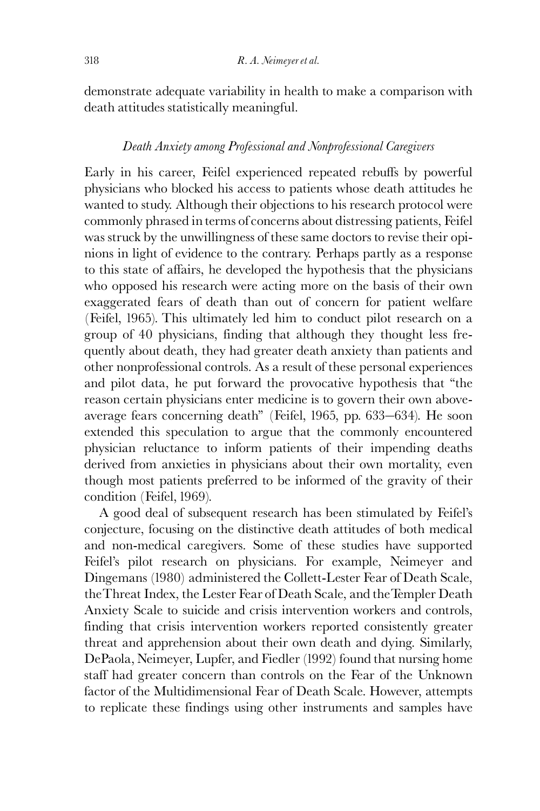demonstrate adequate variability in health to make a comparison with death attitudes statistically meaningful.

#### Death Anxiety among Professional and Nonprofessional Caregivers

Early in his career, Feifel experienced repeated rebuffs by powerful physicians who blocked his access to patients whose death attitudes he wanted to study. Although their objections to his research protocol were commonly phrased in terms of concerns about distressing patients, Feifel was struck by the unwillingness of these same doctors to revise their opinions in light of evidence to the contrary. Perhaps partly as a response to this state of affairs, he developed the hypothesis that the physicians who opposed his research were acting more on the basis of their own exaggerated fears of death than out of concern for patient welfare (Feifel, 1965). This ultimately led him to conduct pilot research on a group of 40 physicians, finding that although they thought less frequently about death, they had greater death anxiety than patients and other nonprofessional controls. As a result of these personal experiences and pilot data, he put forward the provocative hypothesis that ''the reason certain physicians enter medicine is to govern their own aboveaverage fears concerning death" (Feifel, 1965, pp. 633-634). He soon extended this speculation to argue that the commonly encountered physician reluctance to inform patients of their impending deaths derived from anxieties in physicians about their own mortality, even though most patients preferred to be informed of the gravity of their condition (Feifel, 1969).

A good deal of subsequent research has been stimulated by Feifel's conjecture, focusing on the distinctive death attitudes of both medical and non-medical caregivers. Some of these studies have supported Feifel's pilot research on physicians. For example, Neimeyer and Dingemans (1980) administered the Collett-Lester Fear of Death Scale, theThreat Index, the Lester Fear of Death Scale, and theTempler Death Anxiety Scale to suicide and crisis intervention workers and controls, finding that crisis intervention workers reported consistently greater threat and apprehension about their own death and dying. Similarly, DePaola, Neimeyer, Lupfer, and Fiedler (1992) found that nursing home staff had greater concern than controls on the Fear of the Unknown factor of the Multidimensional Fear of Death Scale. However, attempts to replicate these findings using other instruments and samples have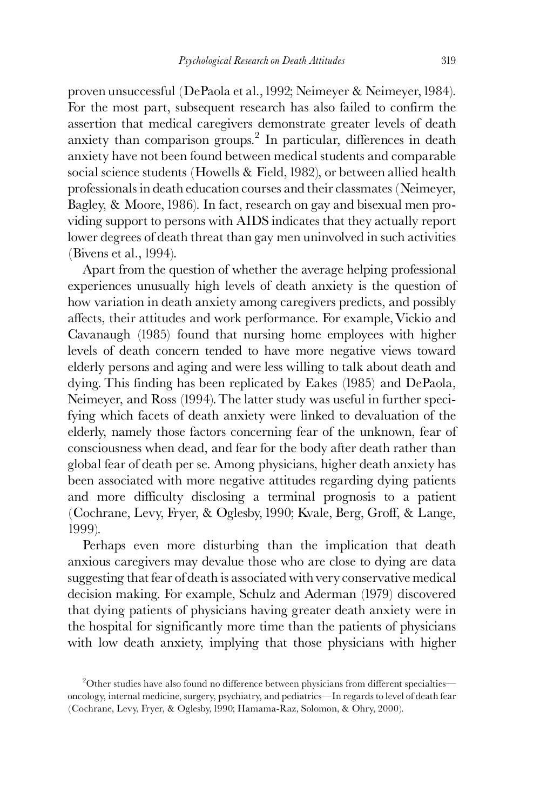proven unsuccessful (DePaola et al.,1992; Neimeyer & Neimeyer,1984). For the most part, subsequent research has also failed to confirm the assertion that medical caregivers demonstrate greater levels of death anxiety than comparison groups.2 In particular, differences in death anxiety have not been found between medical students and comparable social science students (Howells & Field, 1982), or between allied health professionals in death education courses and their classmates (Neimeyer, Bagley, & Moore, 1986). In fact, research on gay and bisexual men providing support to persons with AIDS indicates that they actually report lower degrees of death threat than gay men uninvolved in such activities (Bivens et al., 1994).

Apart from the question of whether the average helping professional experiences unusually high levels of death anxiety is the question of how variation in death anxiety among caregivers predicts, and possibly affects, their attitudes and work performance. For example,Vickio and Cavanaugh (1985) found that nursing home employees with higher levels of death concern tended to have more negative views toward elderly persons and aging and were less willing to talk about death and dying. This finding has been replicated by Eakes (1985) and DePaola, Neimeyer, and Ross (1994). The latter study was useful in further specifying which facets of death anxiety were linked to devaluation of the elderly, namely those factors concerning fear of the unknown, fear of consciousness when dead, and fear for the body after death rather than global fear of death per se. Among physicians, higher death anxiety has been associated with more negative attitudes regarding dying patients and more difficulty disclosing a terminal prognosis to a patient (Cochrane, Levy, Fryer, & Oglesby, 1990; Kvale, Berg, Groff, & Lange, 1999).

Perhaps even more disturbing than the implication that death anxious caregivers may devalue those who are close to dying are data suggesting that fear of death is associated with very conservative medical decision making. For example, Schulz and Aderman (1979) discovered that dying patients of physicians having greater death anxiety were in the hospital for significantly more time than the patients of physicians with low death anxiety, implying that those physicians with higher

 $2$ Other studies have also found no difference between physicians from different specialties oncology, internal medicine, surgery, psychiatry, and pediatrics-In regards to level of death fear (Cochrane, Levy, Fryer, & Oglesby, 1990; Hamama-Raz, Solomon, & Ohry, 2000).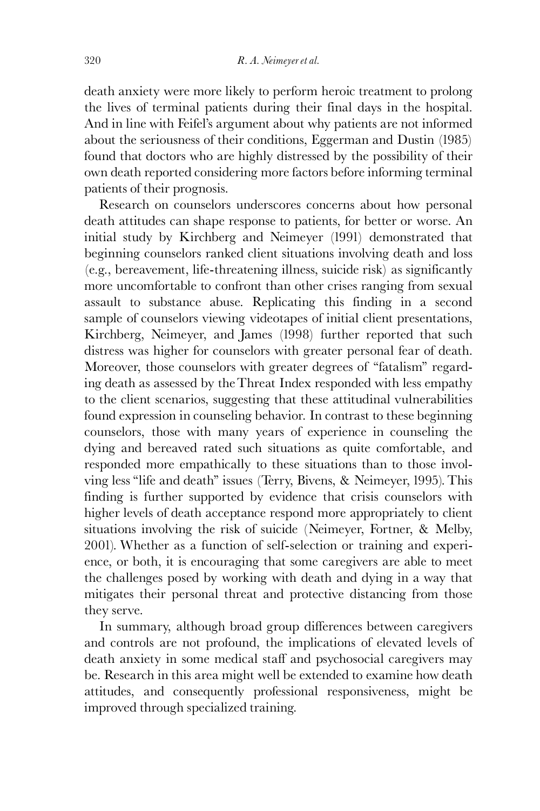death anxiety were more likely to perform heroic treatment to prolong the lives of terminal patients during their final days in the hospital. And in line with Feifel's argument about why patients are not informed about the seriousness of their conditions, Eggerman and Dustin (1985) found that doctors who are highly distressed by the possibility of their own death reported considering more factors before informing terminal patients of their prognosis.

Research on counselors underscores concerns about how personal death attitudes can shape response to patients, for better or worse. An initial study by Kirchberg and Neimeyer (1991) demonstrated that beginning counselors ranked client situations involving death and loss (e.g., bereavement, life-threatening illness, suicide risk) as significantly more uncomfortable to confront than other crises ranging from sexual assault to substance abuse. Replicating this finding in a second sample of counselors viewing videotapes of initial client presentations, Kirchberg, Neimeyer, and James (1998) further reported that such distress was higher for counselors with greater personal fear of death. Moreover, those counselors with greater degrees of ''fatalism'' regarding death as assessed by the Threat Index responded with less empathy to the client scenarios, suggesting that these attitudinal vulnerabilities found expression in counseling behavior. In contrast to these beginning counselors, those with many years of experience in counseling the dying and bereaved rated such situations as quite comfortable, and responded more empathically to these situations than to those involving less ''life and death'' issues (Terry, Bivens, & Neimeyer, 1995). This finding is further supported by evidence that crisis counselors with higher levels of death acceptance respond more appropriately to client situations involving the risk of suicide (Neimeyer, Fortner, & Melby, 2001). Whether as a function of self-selection or training and experience, or both, it is encouraging that some caregivers are able to meet the challenges posed by working with death and dying in a way that mitigates their personal threat and protective distancing from those they serve.

In summary, although broad group differences between caregivers and controls are not profound, the implications of elevated levels of death anxiety in some medical staff and psychosocial caregivers may be. Research in this area might well be extended to examine how death attitudes, and consequently professional responsiveness, might be improved through specialized training.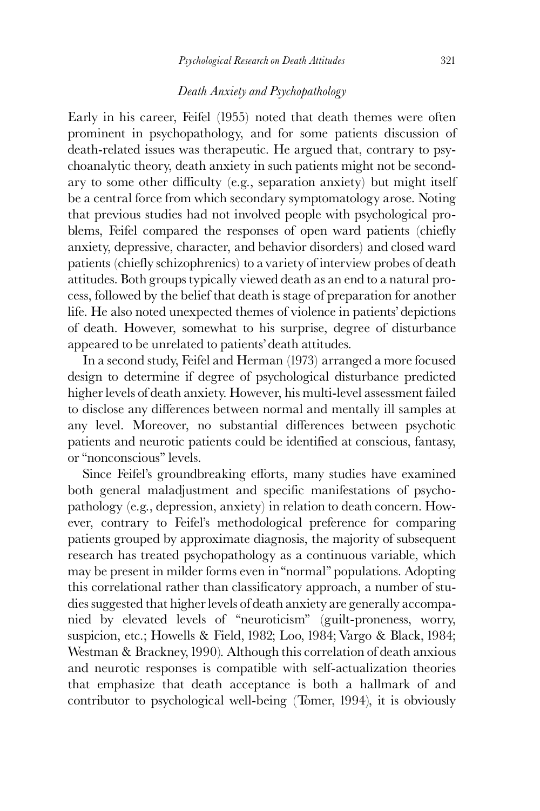## Death Anxiety and Psychopathology

Early in his career, Feifel (1955) noted that death themes were often prominent in psychopathology, and for some patients discussion of death-related issues was therapeutic. He argued that, contrary to psychoanalytic theory, death anxiety in such patients might not be secondary to some other difficulty (e.g., separation anxiety) but might itself be a central force from which secondary symptomatology arose. Noting that previous studies had not involved people with psychological problems, Feifel compared the responses of open ward patients (chiefly anxiety, depressive, character, and behavior disorders) and closed ward patients (chiefly schizophrenics) to a variety of interview probes of death attitudes. Both groups typically viewed death as an end to a natural process, followed by the belief that death is stage of preparation for another life. He also noted unexpected themes of violence in patients' depictions of death. However, somewhat to his surprise, degree of disturbance appeared to be unrelated to patients'death attitudes.

In a second study, Feifel and Herman (1973) arranged a more focused design to determine if degree of psychological disturbance predicted higher levels of death anxiety. However, his multi-level assessment failed to disclose any differences between normal and mentally ill samples at any level. Moreover, no substantial differences between psychotic patients and neurotic patients could be identified at conscious, fantasy, or ''nonconscious'' levels.

Since Feifel's groundbreaking efforts, many studies have examined both general maladjustment and specific manifestations of psychopathology (e.g., depression, anxiety) in relation to death concern. However, contrary to Feifel's methodological preference for comparing patients grouped by approximate diagnosis, the majority of subsequent research has treated psychopathology as a continuous variable, which may be present in milder forms even in''normal'' populations. Adopting this correlational rather than classificatory approach, a number of studies suggested that higher levels of death anxiety are generally accompanied by elevated levels of ''neuroticism'' (guilt-proneness, worry, suspicion, etc.; Howells & Field, 1982; Loo, 1984; Vargo & Black, 1984; Westman & Brackney, 1990). Although this correlation of death anxious and neurotic responses is compatible with self-actualization theories that emphasize that death acceptance is both a hallmark of and contributor to psychological well-being (Tomer, 1994), it is obviously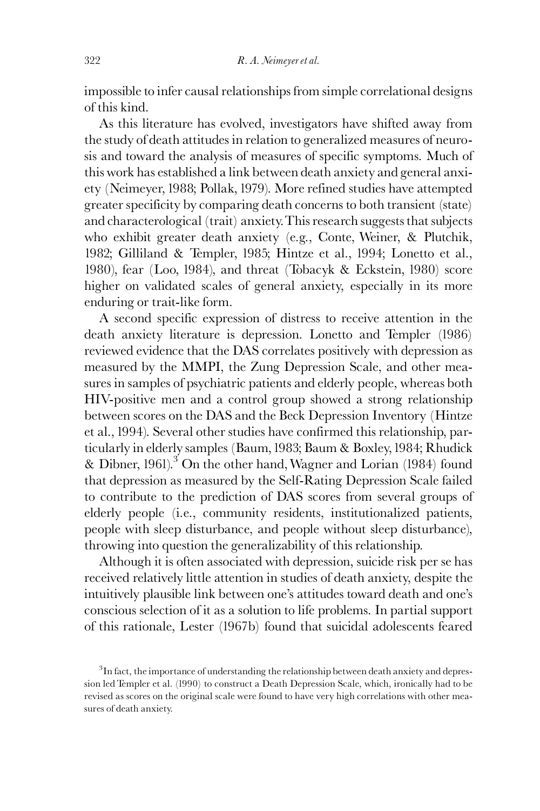impossible to infer causal relationships from simple correlational designs of this kind.

As this literature has evolved, investigators have shifted away from the study of death attitudes in relation to generalized measures of neurosis and toward the analysis of measures of specific symptoms. Much of this work has established a link between death anxiety and general anxiety (Neimeyer, 1988; Pollak, 1979). More refined studies have attempted greater specificity by comparing death concerns to both transient (state) and characterological (trait) anxiety.This research suggests that subjects who exhibit greater death anxiety (e.g., Conte, Weiner, & Plutchik, 1982; Gilliland & Templer, 1985; Hintze et al., 1994; Lonetto et al., 1980), fear (Loo, 1984), and threat (Tobacyk & Eckstein, 1980) score higher on validated scales of general anxiety, especially in its more enduring or trait-like form.

A second specific expression of distress to receive attention in the death anxiety literature is depression. Lonetto and Templer (1986) reviewed evidence that the DAS correlates positively with depression as measured by the MMPI, the Zung Depression Scale, and other measures in samples of psychiatric patients and elderly people, whereas both HIV-positive men and a control group showed a strong relationship between scores on the DAS and the Beck Depression Inventory (Hintze et al., 1994). Several other studies have confirmed this relationship, particularly in elderly samples (Baum,1983; Baum & Boxley,1984; Rhudick & Dibner, 1961).3 On the other hand,Wagner and Lorian (1984) found that depression as measured by the Self-Rating Depression Scale failed to contribute to the prediction of DAS scores from several groups of elderly people (i.e., community residents, institutionalized patients, people with sleep disturbance, and people without sleep disturbance), throwing into question the generalizability of this relationship.

Although it is often associated with depression, suicide risk per se has received relatively little attention in studies of death anxiety, despite the intuitively plausible link between one's attitudes toward death and one's conscious selection of it as a solution to life problems. In partial support of this rationale, Lester (1967b) found that suicidal adolescents feared

 ${\rm ^3In}$  fact, the importance of understanding the relationship between death anxiety and depression led Templer et al. (1990) to construct a Death Depression Scale, which, ironically had to be revised as scores on the original scale were found to have very high correlations with other measures of death anxiety.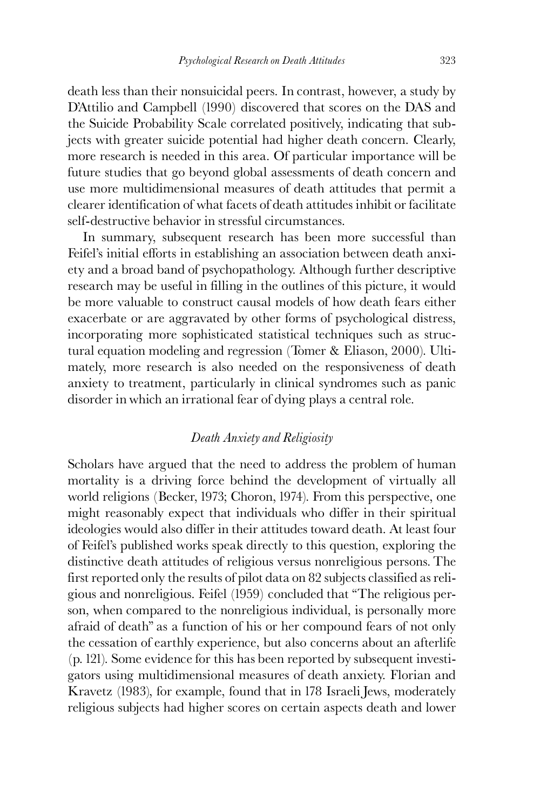death less than their nonsuicidal peers. In contrast, however, a study by D'Attilio and Campbell (1990) discovered that scores on the DAS and the Suicide Probability Scale correlated positively, indicating that subjects with greater suicide potential had higher death concern. Clearly, more research is needed in this area. Of particular importance will be future studies that go beyond global assessments of death concern and use more multidimensional measures of death attitudes that permit a clearer identification of what facets of death attitudes inhibit or facilitate self-destructive behavior in stressful circumstances.

In summary, subsequent research has been more successful than Feifel's initial efforts in establishing an association between death anxiety and a broad band of psychopathology. Although further descriptive research may be useful in filling in the outlines of this picture, it would be more valuable to construct causal models of how death fears either exacerbate or are aggravated by other forms of psychological distress, incorporating more sophisticated statistical techniques such as structural equation modeling and regression (Tomer & Eliason, 2000). Ultimately, more research is also needed on the responsiveness of death anxiety to treatment, particularly in clinical syndromes such as panic disorder in which an irrational fear of dying plays a central role.

#### Death Anxiety and Religiosity

Scholars have argued that the need to address the problem of human mortality is a driving force behind the development of virtually all world religions (Becker, 1973; Choron, 1974). From this perspective, one might reasonably expect that individuals who differ in their spiritual ideologies would also differ in their attitudes toward death. At least four of Feifel's published works speak directly to this question, exploring the distinctive death attitudes of religious versus nonreligious persons. The first reported only the results of pilot data on 82 subjects classified as religious and nonreligious. Feifel (1959) concluded that ''The religious person, when compared to the nonreligious individual, is personally more afraid of death'' as a function of his or her compound fears of not only the cessation of earthly experience, but also concerns about an afterlife (p. 121). Some evidence for this has been reported by subsequent investigators using multidimensional measures of death anxiety. Florian and Kravetz (1983), for example, found that in 178 Israeli Jews, moderately religious subjects had higher scores on certain aspects death and lower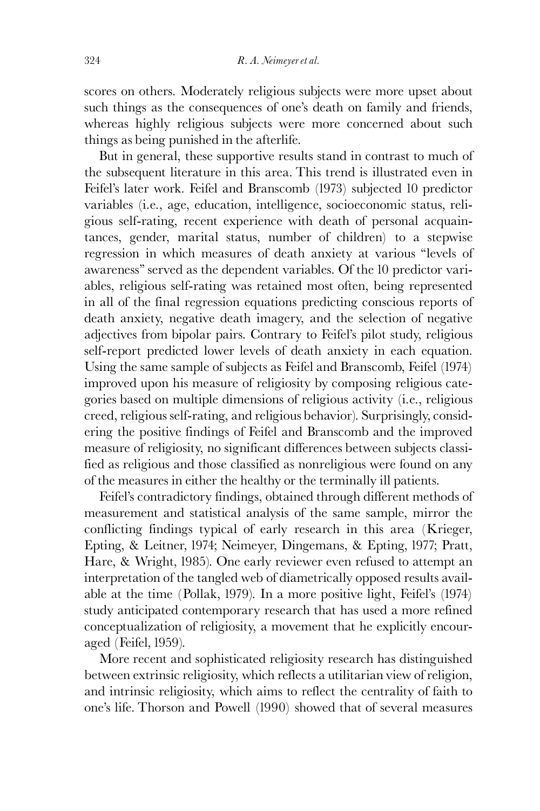scores on others. Moderately religious subjects were more upset about such things as the consequences of one's death on family and friends, whereas highly religious subjects were more concerned about such things as being punished in the afterlife.

But in general, these supportive results stand in contrast to much of the subsequent literature in this area. This trend is illustrated even in Feifel's later work. Feifel and Branscomb (1973) subjected 10 predictor variables (i.e., age, education, intelligence, socioeconomic status, religious self-rating, recent experience with death of personal acquaintances, gender, marital status, number of children) to a stepwise regression in which measures of death anxiety at various ''levels of awareness'' served as the dependent variables. Of the 10 predictor variables, religious self-rating was retained most often, being represented in all of the final regression equations predicting conscious reports of death anxiety, negative death imagery, and the selection of negative adjectives from bipolar pairs. Contrary to Feifel's pilot study, religious self-report predicted lower levels of death anxiety in each equation. Using the same sample of subjects as Feifel and Branscomb, Feifel (1974) improved upon his measure of religiosity by composing religious categories based on multiple dimensions of religious activity (i.e., religious creed, religious self-rating, and religious behavior). Surprisingly, considering the positive findings of Feifel and Branscomb and the improved measure of religiosity, no significant differences between subjects classified as religious and those classified as nonreligious were found on any of the measures in either the healthy or the terminally ill patients.

Feifel's contradictory findings, obtained through different methods of measurement and statistical analysis of the same sample, mirror the conflicting findings typical of early research in this area (Krieger, Epting, & Leitner, 1974; Neimeyer, Dingemans, & Epting, 1977; Pratt, Hare, & Wright, 1985). One early reviewer even refused to attempt an interpretation of the tangled web of diametrically opposed results available at the time (Pollak, 1979). In a more positive light, Feifel's (1974) study anticipated contemporary research that has used a more refined conceptualization of religiosity, a movement that he explicitly encouraged (Feifel, 1959).

More recent and sophisticated religiosity research has distinguished between extrinsic religiosity, which reflects a utilitarian view of religion, and intrinsic religiosity, which aims to reflect the centrality of faith to one's life. Thorson and Powell (1990) showed that of several measures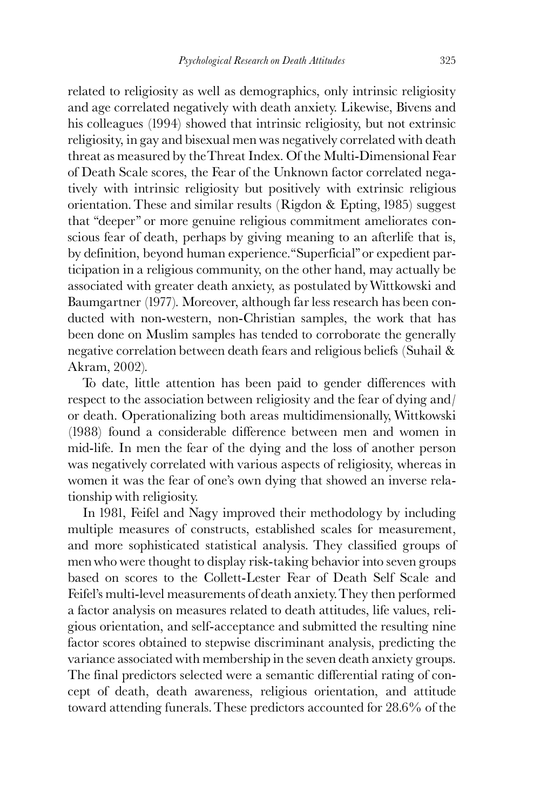related to religiosity as well as demographics, only intrinsic religiosity and age correlated negatively with death anxiety. Likewise, Bivens and his colleagues (1994) showed that intrinsic religiosity, but not extrinsic religiosity, in gay and bisexual men was negatively correlated with death threat as measured by theThreat Index. Of the Multi-Dimensional Fear of Death Scale scores, the Fear of the Unknown factor correlated negatively with intrinsic religiosity but positively with extrinsic religious orientation. These and similar results (Rigdon & Epting, 1985) suggest that ''deeper'' or more genuine religious commitment ameliorates conscious fear of death, perhaps by giving meaning to an afterlife that is, by definition, beyond human experience.''Superficial''or expedient participation in a religious community, on the other hand, may actually be associated with greater death anxiety, as postulated byWittkowski and Baumgartner (1977). Moreover, although far less research has been conducted with non-western, non-Christian samples, the work that has been done on Muslim samples has tended to corroborate the generally negative correlation between death fears and religious beliefs (Suhail & Akram, 2002).

To date, little attention has been paid to gender differences with respect to the association between religiosity and the fear of dying and/ or death. Operationalizing both areas multidimensionally, Wittkowski (1988) found a considerable difference between men and women in mid-life. In men the fear of the dying and the loss of another person was negatively correlated with various aspects of religiosity, whereas in women it was the fear of one's own dying that showed an inverse relationship with religiosity.

In 1981, Feifel and Nagy improved their methodology by including multiple measures of constructs, established scales for measurement, and more sophisticated statistical analysis. They classified groups of men who were thought to display risk-taking behavior into seven groups based on scores to the Collett-Lester Fear of Death Self Scale and Feifel's multi-level measurements of death anxiety.They then performed a factor analysis on measures related to death attitudes, life values, religious orientation, and self-acceptance and submitted the resulting nine factor scores obtained to stepwise discriminant analysis, predicting the variance associated with membership in the seven death anxiety groups. The final predictors selected were a semantic differential rating of concept of death, death awareness, religious orientation, and attitude toward attending funerals.These predictors accounted for 28.6% of the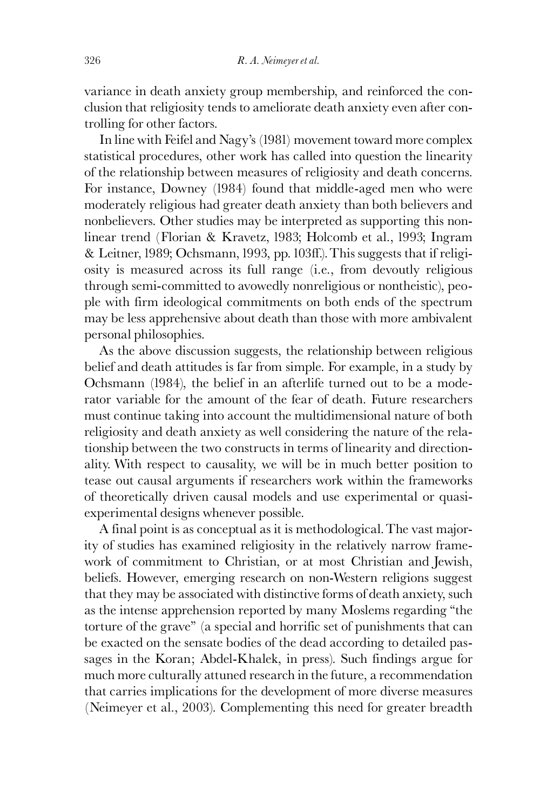variance in death anxiety group membership, and reinforced the conclusion that religiosity tends to ameliorate death anxiety even after controlling for other factors.

In line with Feifel and Nagy's (1981) movement toward more complex statistical procedures, other work has called into question the linearity of the relationship between measures of religiosity and death concerns. For instance, Downey (1984) found that middle-aged men who were moderately religious had greater death anxiety than both believers and nonbelievers. Other studies may be interpreted as supporting this nonlinear trend (Florian & Kravetz, 1983; Holcomb et al., 1993; Ingram & Leitner, 1989; Ochsmann, 1993, pp. 103ff.).This suggests that if religiosity is measured across its full range (i.e., from devoutly religious through semi-committed to avowedly nonreligious or nontheistic), people with firm ideological commitments on both ends of the spectrum may be less apprehensive about death than those with more ambivalent personal philosophies.

As the above discussion suggests, the relationship between religious belief and death attitudes is far from simple. For example, in a study by Ochsmann (1984), the belief in an afterlife turned out to be a moderator variable for the amount of the fear of death. Future researchers must continue taking into account the multidimensional nature of both religiosity and death anxiety as well considering the nature of the relationship between the two constructs in terms of linearity and directionality. With respect to causality, we will be in much better position to tease out causal arguments if researchers work within the frameworks of theoretically driven causal models and use experimental or quasiexperimental designs whenever possible.

A final point is as conceptual as it is methodological.The vast majority of studies has examined religiosity in the relatively narrow framework of commitment to Christian, or at most Christian and Jewish, beliefs. However, emerging research on non-Western religions suggest that they may be associated with distinctive forms of death anxiety, such as the intense apprehension reported by many Moslems regarding ''the torture of the grave'' (a special and horrific set of punishments that can be exacted on the sensate bodies of the dead according to detailed passages in the Koran; Abdel-Khalek, in press). Such findings argue for much more culturally attuned research in the future, a recommendation that carries implications for the development of more diverse measures (Neimeyer et al., 2003). Complementing this need for greater breadth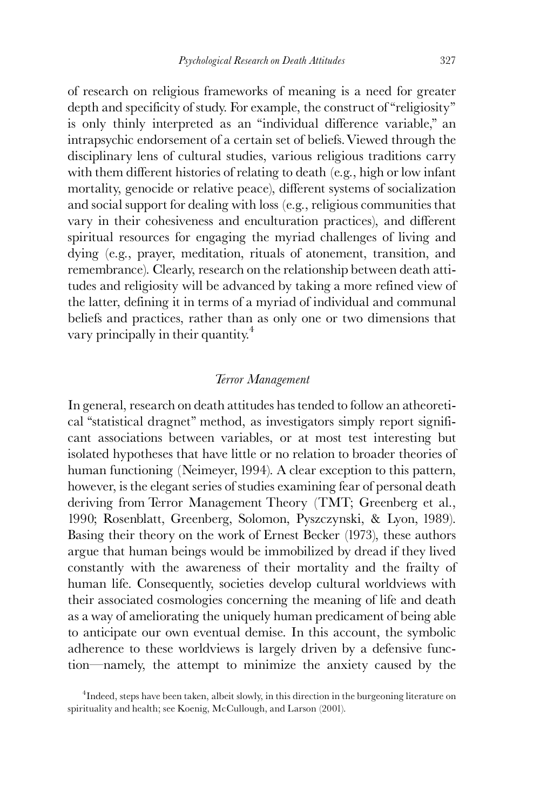of research on religious frameworks of meaning is a need for greater depth and specificity of study. For example, the construct of "religiosity" is only thinly interpreted as an "individual difference variable," an intrapsychic endorsement of a certain set of beliefs.Viewed through the disciplinary lens of cultural studies, various religious traditions carry with them different histories of relating to death (e.g., high or low infant mortality, genocide or relative peace), different systems of socialization and social support for dealing with loss (e.g., religious communities that vary in their cohesiveness and enculturation practices), and different spiritual resources for engaging the myriad challenges of living and dying (e.g., prayer, meditation, rituals of atonement, transition, and remembrance). Clearly, research on the relationship between death attitudes and religiosity will be advanced by taking a more refined view of the latter, defining it in terms of a myriad of individual and communal beliefs and practices, rather than as only one or two dimensions that vary principally in their quantity.<sup>4</sup>

#### Terror Management

In general, research on death attitudes has tended to follow an atheoretical "statistical dragnet" method, as investigators simply report significant associations between variables, or at most test interesting but isolated hypotheses that have little or no relation to broader theories of human functioning (Neimeyer, 1994). A clear exception to this pattern, however, is the elegant series of studies examining fear of personal death deriving from Terror Management Theory (TMT; Greenberg et al., 1990; Rosenblatt, Greenberg, Solomon, Pyszczynski, & Lyon, 1989). Basing their theory on the work of Ernest Becker (1973), these authors argue that human beings would be immobilized by dread if they lived constantly with the awareness of their mortality and the frailty of human life. Consequently, societies develop cultural worldviews with their associated cosmologies concerning the meaning of life and death as a way of ameliorating the uniquely human predicament of being able to anticipate our own eventual demise. In this account, the symbolic adherence to these worldviews is largely driven by a defensive function—namely, the attempt to minimize the anxiety caused by the

<sup>4</sup> Indeed, steps have been taken, albeit slowly, in this direction in the burgeoning literature on spirituality and health; see Koenig, McCullough, and Larson (2001).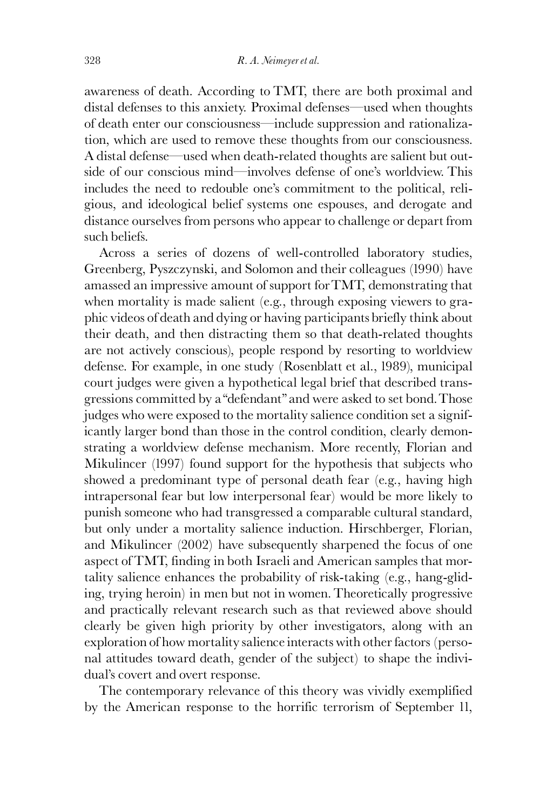awareness of death. According to TMT, there are both proximal and distal defenses to this anxiety. Proximal defenses—used when thoughts of death enter our consciousness—include suppression and rationalization, which are used to remove these thoughts from our consciousness. A distal defense—used when death-related thoughts are salient but outside of our conscious mind—involves defense of one's worldview. This includes the need to redouble one's commitment to the political, religious, and ideological belief systems one espouses, and derogate and distance ourselves from persons who appear to challenge or depart from such beliefs.

Across a series of dozens of well-controlled laboratory studies, Greenberg, Pyszczynski, and Solomon and their colleagues (1990) have amassed an impressive amount of support forTMT, demonstrating that when mortality is made salient (e.g., through exposing viewers to graphic videos of death and dying or having participants briefly think about their death, and then distracting them so that death-related thoughts are not actively conscious), people respond by resorting to worldview defense. For example, in one study (Rosenblatt et al., 1989), municipal court judges were given a hypothetical legal brief that described transgressions committed by a''defendant''and were asked to set bond.Those judges who were exposed to the mortality salience condition set a significantly larger bond than those in the control condition, clearly demonstrating a worldview defense mechanism. More recently, Florian and Mikulincer (1997) found support for the hypothesis that subjects who showed a predominant type of personal death fear (e.g., having high intrapersonal fear but low interpersonal fear) would be more likely to punish someone who had transgressed a comparable cultural standard, but only under a mortality salience induction. Hirschberger, Florian, and Mikulincer (2002) have subsequently sharpened the focus of one aspect of TMT, finding in both Israeli and American samples that mortality salience enhances the probability of risk-taking (e.g., hang-gliding, trying heroin) in men but not in women. Theoretically progressive and practically relevant research such as that reviewed above should clearly be given high priority by other investigators, along with an exploration of how mortality salience interacts with other factors (personal attitudes toward death, gender of the subject) to shape the individual's covert and overt response.

The contemporary relevance of this theory was vividly exemplified by the American response to the horrific terrorism of September 11,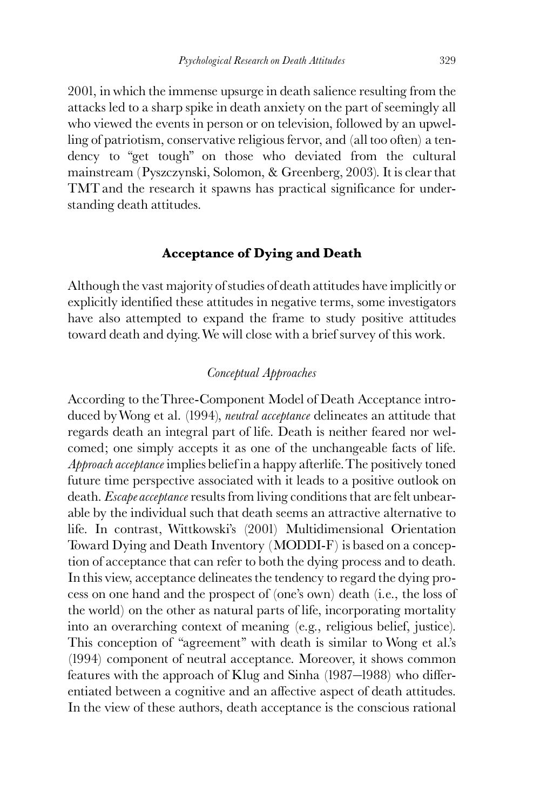2001, in which the immense upsurge in death salience resulting from the attacks led to a sharp spike in death anxiety on the part of seemingly all who viewed the events in person or on television, followed by an upwelling of patriotism, conservative religious fervor, and (all too often) a tendency to "get tough" on those who deviated from the cultural mainstream (Pyszczynski, Solomon, & Greenberg, 2003). It is clear that TMT and the research it spawns has practical significance for understanding death attitudes.

## Acceptance of Dying and Death

Although the vast majority of studies of death attitudes have implicitly or explicitly identified these attitudes in negative terms, some investigators have also attempted to expand the frame to study positive attitudes toward death and dying.We will close with a brief survey of this work.

# Conceptual Approaches

According to theThree-Component Model of Death Acceptance introduced by Wong et al. (1994), *neutral acceptance* delineates an attitude that regards death an integral part of life. Death is neither feared nor welcomed; one simply accepts it as one of the unchangeable facts of life. Approach acceptance implies belief in a happy afterlife. The positively toned future time perspective associated with it leads to a positive outlook on death. *Escape acceptance* results from living conditions that are felt unbearable by the individual such that death seems an attractive alternative to life. In contrast, Wittkowski's (2001) Multidimensional Orientation Toward Dying and Death Inventory (MODDI-F) is based on a conception of acceptance that can refer to both the dying process and to death. In this view, acceptance delineates the tendency to regard the dying process on one hand and the prospect of (one's own) death (i.e., the loss of the world) on the other as natural parts of life, incorporating mortality into an overarching context of meaning (e.g., religious belief, justice). This conception of "agreement" with death is similar to Wong et al.'s (1994) component of neutral acceptance. Moreover, it shows common features with the approach of Klug and Sinha  $(1987-1988)$  who differentiated between a cognitive and an affective aspect of death attitudes. In the view of these authors, death acceptance is the conscious rational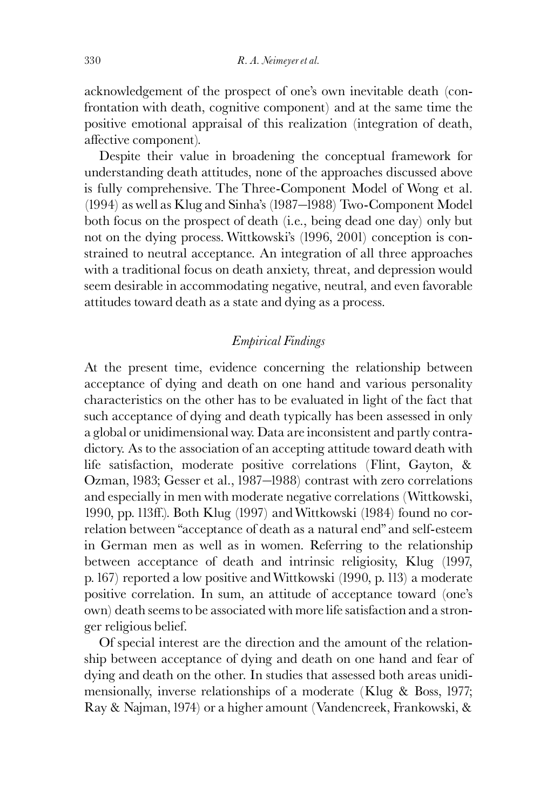acknowledgement of the prospect of one's own inevitable death (confrontation with death, cognitive component) and at the same time the positive emotional appraisal of this realization (integration of death, affective component).

Despite their value in broadening the conceptual framework for understanding death attitudes, none of the approaches discussed above is fully comprehensive. The Three-Component Model of Wong et al.  $(1994)$  as well as Klug and Sinha's  $(1987–1988)$  Two-Component Model both focus on the prospect of death (i.e., being dead one day) only but not on the dying process. Wittkowski's (1996, 2001) conception is constrained to neutral acceptance. An integration of all three approaches with a traditional focus on death anxiety, threat, and depression would seem desirable in accommodating negative, neutral, and even favorable attitudes toward death as a state and dying as a process.

# Empirical Findings

At the present time, evidence concerning the relationship between acceptance of dying and death on one hand and various personality characteristics on the other has to be evaluated in light of the fact that such acceptance of dying and death typically has been assessed in only a global or unidimensional way. Data are inconsistent and partly contradictory. As to the association of an accepting attitude toward death with life satisfaction, moderate positive correlations (Flint, Gayton, & Ozman, 1983; Gesser et al., 1987-1988) contrast with zero correlations and especially in men with moderate negative correlations (Wittkowski, 1990, pp. 113ff.). Both Klug (1997) andWittkowski (1984) found no correlation between ''acceptance of death as a natural end''and self-esteem in German men as well as in women. Referring to the relationship between acceptance of death and intrinsic religiosity, Klug (1997, p. 167) reported a low positive andWittkowski (1990, p. 113) a moderate positive correlation. In sum, an attitude of acceptance toward (one's own) death seems to be associated with more life satisfaction and a stronger religious belief.

Of special interest are the direction and the amount of the relationship between acceptance of dying and death on one hand and fear of dying and death on the other. In studies that assessed both areas unidimensionally, inverse relationships of a moderate (Klug & Boss, 1977; Ray & Najman, 1974) or a higher amount (Vandencreek, Frankowski, &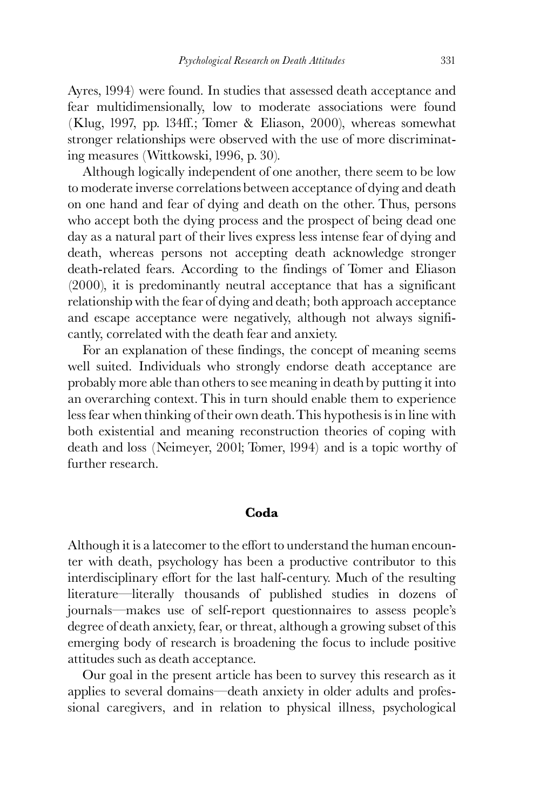Ayres, 1994) were found. In studies that assessed death acceptance and fear multidimensionally, low to moderate associations were found (Klug, 1997, pp. 134ff.; Tomer & Eliason, 2000), whereas somewhat stronger relationships were observed with the use of more discriminating measures (Wittkowski, 1996, p. 30).

Although logically independent of one another, there seem to be low to moderate inverse correlations between acceptance of dying and death on one hand and fear of dying and death on the other. Thus, persons who accept both the dying process and the prospect of being dead one day as a natural part of their lives express less intense fear of dying and death, whereas persons not accepting death acknowledge stronger death-related fears. According to the findings of Tomer and Eliason (2000), it is predominantly neutral acceptance that has a significant relationship with the fear of dying and death; both approach acceptance and escape acceptance were negatively, although not always significantly, correlated with the death fear and anxiety.

For an explanation of these findings, the concept of meaning seems well suited. Individuals who strongly endorse death acceptance are probably more able than others to see meaning in death by putting it into an overarching context. This in turn should enable them to experience less fear when thinking of their own death.This hypothesis is in line with both existential and meaning reconstruction theories of coping with death and loss (Neimeyer, 2001; Tomer, 1994) and is a topic worthy of further research.

#### Coda

Although it is a latecomer to the effort to understand the human encounter with death, psychology has been a productive contributor to this interdisciplinary effort for the last half-century. Much of the resulting literature-literally thousands of published studies in dozens of journals—makes use of self-report questionnaires to assess people's degree of death anxiety, fear, or threat, although a growing subset of this emerging body of research is broadening the focus to include positive attitudes such as death acceptance.

Our goal in the present article has been to survey this research as it applies to several domains—death anxiety in older adults and professional caregivers, and in relation to physical illness, psychological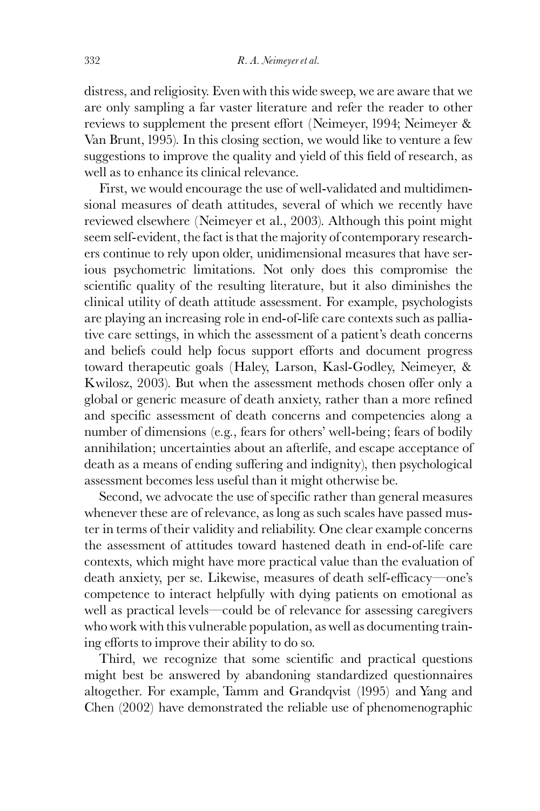distress, and religiosity. Even with this wide sweep, we are aware that we are only sampling a far vaster literature and refer the reader to other reviews to supplement the present effort (Neimeyer, 1994; Neimeyer & Van Brunt, 1995). In this closing section, we would like to venture a few suggestions to improve the quality and yield of this field of research, as well as to enhance its clinical relevance.

First, we would encourage the use of well-validated and multidimensional measures of death attitudes, several of which we recently have reviewed elsewhere (Neimeyer et al., 2003). Although this point might seem self-evident, the fact is that the majority of contemporary researchers continue to rely upon older, unidimensional measures that have serious psychometric limitations. Not only does this compromise the scientific quality of the resulting literature, but it also diminishes the clinical utility of death attitude assessment. For example, psychologists are playing an increasing role in end-of-life care contexts such as palliative care settings, in which the assessment of a patient's death concerns and beliefs could help focus support efforts and document progress toward therapeutic goals (Haley, Larson, Kasl-Godley, Neimeyer, & Kwilosz, 2003). But when the assessment methods chosen offer only a global or generic measure of death anxiety, rather than a more refined and specific assessment of death concerns and competencies along a number of dimensions (e.g., fears for others' well-being; fears of bodily annihilation; uncertainties about an afterlife, and escape acceptance of death as a means of ending suffering and indignity), then psychological assessment becomes less useful than it might otherwise be.

Second, we advocate the use of specific rather than general measures whenever these are of relevance, as long as such scales have passed muster in terms of their validity and reliability. One clear example concerns the assessment of attitudes toward hastened death in end-of-life care contexts, which might have more practical value than the evaluation of death anxiety, per se. Likewise, measures of death self-efficacy-one's competence to interact helpfully with dying patients on emotional as well as practical levels—could be of relevance for assessing caregivers who work with this vulnerable population, as well as documenting training efforts to improve their ability to do so.

Third, we recognize that some scientific and practical questions might best be answered by abandoning standardized questionnaires altogether. For example, Tamm and Grandqvist (1995) and Yang and Chen (2002) have demonstrated the reliable use of phenomenographic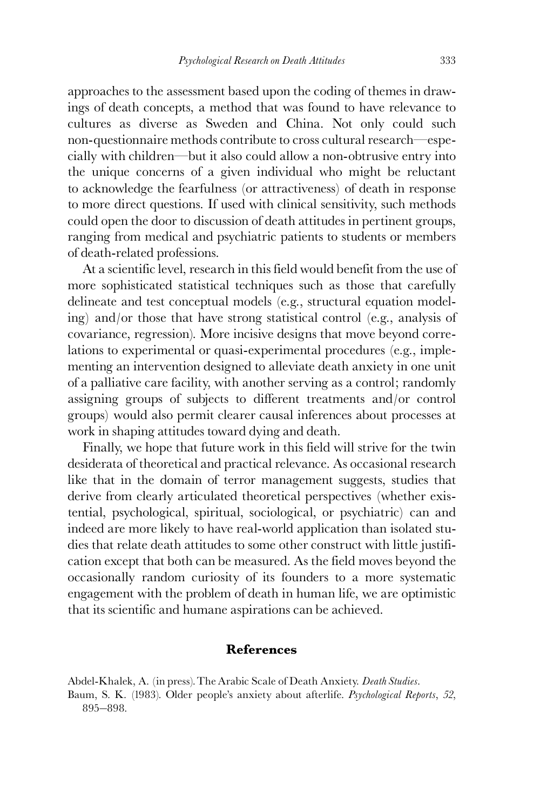approaches to the assessment based upon the coding of themes in drawings of death concepts, a method that was found to have relevance to cultures as diverse as Sweden and China. Not only could such non-questionnaire methods contribute to cross cultural research-especially with children—but it also could allow a non-obtrusive entry into the unique concerns of a given individual who might be reluctant to acknowledge the fearfulness (or attractiveness) of death in response to more direct questions. If used with clinical sensitivity, such methods could open the door to discussion of death attitudes in pertinent groups, ranging from medical and psychiatric patients to students or members of death-related professions.

At a scientific level, research in this field would benefit from the use of more sophisticated statistical techniques such as those that carefully delineate and test conceptual models (e.g., structural equation modeling) and/or those that have strong statistical control (e.g., analysis of covariance, regression). More incisive designs that move beyond correlations to experimental or quasi-experimental procedures (e.g., implementing an intervention designed to alleviate death anxiety in one unit of a palliative care facility, with another serving as a control; randomly assigning groups of subjects to different treatments and/or control groups) would also permit clearer causal inferences about processes at work in shaping attitudes toward dying and death.

Finally, we hope that future work in this field will strive for the twin desiderata of theoretical and practical relevance. As occasional research like that in the domain of terror management suggests, studies that derive from clearly articulated theoretical perspectives (whether existential, psychological, spiritual, sociological, or psychiatric) can and indeed are more likely to have real-world application than isolated studies that relate death attitudes to some other construct with little justification except that both can be measured. As the field moves beyond the occasionally random curiosity of its founders to a more systematic engagement with the problem of death in human life, we are optimistic that its scientific and humane aspirations can be achieved.

#### References

Abdel-Khalek, A. (in press).The Arabic Scale of Death Anxiety. Death Studies. Baum, S. K. (1983). Older people's anxiety about afterlife. Psychological Reports, 52,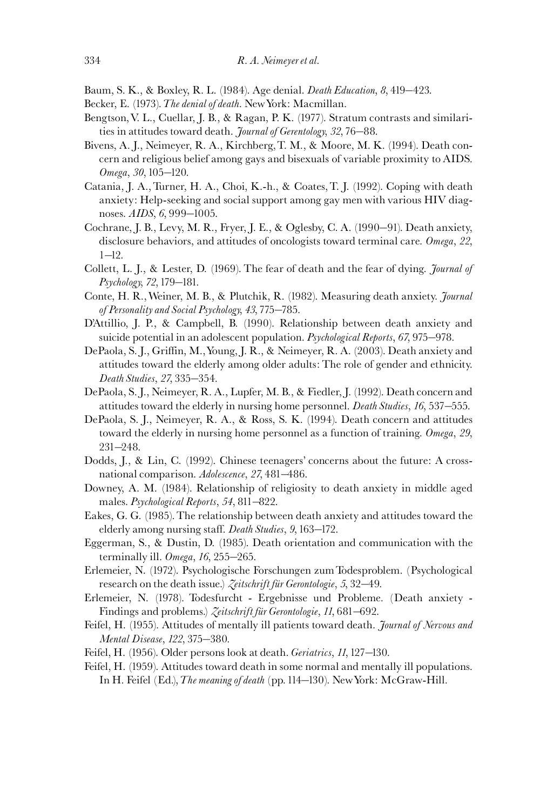- Baum, S. K., & Boxley, R. L. (1984). Age denial. *Death Education*, 8, 419–423.
- Becker, E. (1973). The denial of death. New York: Macmillan.
- Bengtson, V. L., Cuellar, J. B., & Ragan, P. K. (1977). Stratum contrasts and similarities in attitudes toward death. Journal of Gerentology, 32, 76-88.
- Bivens, A. J., Neimeyer, R. A., Kirchberg,T. M., & Moore, M. K. (1994). Death concern and religious belief among gays and bisexuals of variable proximity to AIDS.  $Omega, 30, 105-120.$
- Catania, J. A., Turner, H. A., Choi, K.-h., & Coates, T. J. (1992). Coping with death anxiety: Help-seeking and social support among gay men with various HIV diagnoses. AIDS, 6, 999-1005.
- Cochrane, J. B., Levy, M. R., Fryer, J. E., & Oglesby, C. A. (1990-91). Death anxiety, disclosure behaviors, and attitudes of oncologists toward terminal care. Omega, 22,  $1 - 12$ .
- Collett, L. J., & Lester, D. (1969). The fear of death and the fear of dying. Journal of Psychology, 72, 179-181.
- Conte, H. R., Weiner, M. B., & Plutchik, R. (1982). Measuring death anxiety. Journal of Personality and Social Psychology, 43, 775-785.
- D'Attillio, J. P., & Campbell, B. (1990). Relationship between death anxiety and suicide potential in an adolescent population. Psychological Reports, 67, 975-978.
- DePaola, S. J., Griffin, M.,Young, J. R., & Neimeyer, R. A. (2003). Death anxiety and attitudes toward the elderly among older adults: The role of gender and ethnicity. Death Studies, 27, 335-354.
- DePaola, S. J., Neimeyer, R. A., Lupfer, M. B., & Fiedler, J. (1992). Death concern and attitudes toward the elderly in nursing home personnel. Death Studies, 16, 537-555.
- DePaola, S. J., Neimeyer, R. A., & Ross, S. K. (1994). Death concern and attitudes toward the elderly in nursing home personnel as a function of training. Omega, 29,  $231 - 248$ .
- Dodds, J., & Lin, C. (1992). Chinese teenagers' concerns about the future: A crossnational comparison. Adolescence, 27, 481-486.
- Downey, A. M. (1984). Relationship of religiosity to death anxiety in middle aged males. Psychological Reports, 54, 811-822.
- Eakes, G. G. (1985). The relationship between death anxiety and attitudes toward the elderly among nursing staff. Death Studies, 9, 163-172.
- Eggerman, S., & Dustin, D. (1985). Death orientation and communication with the terminally ill.  $Omega, 16, 255-265.$
- Erlemeier, N. (1972). Psychologische Forschungen zum Todesproblem. (Psychological research on the death issue.) Zeitschrift für Gerontologie, 5, 32–49.
- Erlemeier, N. (1978). Todesfurcht Ergebnisse und Probleme. (Death anxiety Findings and problems.) Zeitschrift für Gerontologie, 11, 681–692.
- Feifel, H. (1955). Attitudes of mentally ill patients toward death. Journal of Nervous and Mental Disease, 122, 375-380.
- Feifel, H. (1956). Older persons look at death. *Geriatrics*, 11, 127–130.
- Feifel, H. (1959). Attitudes toward death in some normal and mentally ill populations. In H. Feifel (Ed.), *The meaning of death* (pp. 114-130). New York: McGraw-Hill.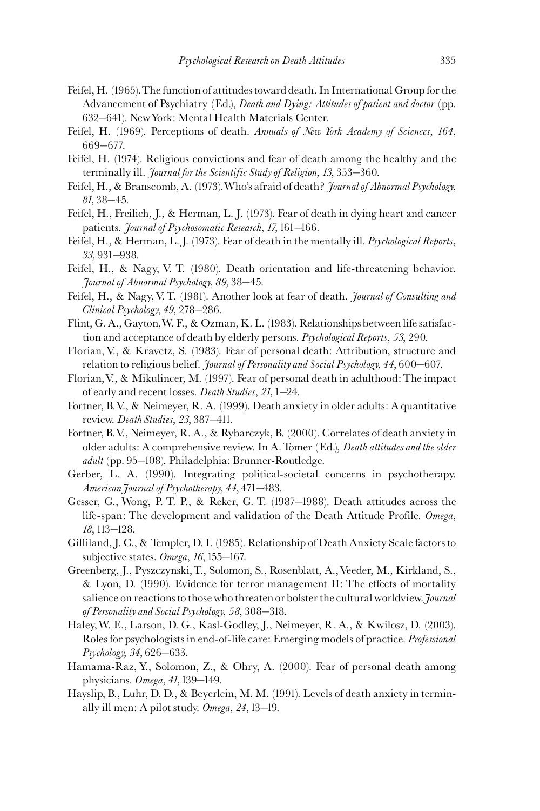- Feifel, H. (1965).The function of attitudes toward death. In International Group for the Advancement of Psychiatry (Ed.), *Death and Dying: Attitudes of patient and doctor* (pp. 632-641). New York: Mental Health Materials Center.
- Feifel, H. (1969). Perceptions of death. Annuals of New York Academy of Sciences, 164, 669-677.
- Feifel, H. (1974). Religious convictions and fear of death among the healthy and the terminally ill. Journal for the Scientific Study of Religion, 13, 353-360.
- Feifel, H., & Branscomb, A. (1973). Who's afraid of death? *Journal of Abnormal Psychology*, 81, 38-45.
- Feifel, H., Freilich, J., & Herman, L. J. (1973). Fear of death in dying heart and cancer patients. Journal of Psychosomatic Research, 17, 161-166.
- Feifel, H., & Herman, L. J. (1973). Fear of death in the mentally ill. Psychological Reports, 33, 931-938.
- Feifel, H., & Nagy, V. T. (1980). Death orientation and life-threatening behavior. Journal of Abnormal Psychology, 89, 38-45.
- Feifel, H., & Nagy, V.T. (1981). Another look at fear of death. Journal of Consulting and Clinical Psychology, 49, 278-286.
- Flint, G. A., Gayton,W. F., & Ozman, K. L. (1983). Relationships between life satisfaction and acceptance of death by elderly persons. Psychological Reports, 53, 290.
- Florian, V., & Kravetz, S. (1983). Fear of personal death: Attribution, structure and relation to religious belief. *Journal of Personality and Social Psychology*, 44, 600–607.
- Florian,V., & Mikulincer, M. (1997). Fear of personal death in adulthood: The impact of early and recent losses. Death Studies, 21, 1-24.
- Fortner, B.V., & Neimeyer, R. A. (1999). Death anxiety in older adults: A quantitative review. Death Studies, 23, 387-411.
- Fortner, B.V., Neimeyer, R. A., & Rybarczyk, B. (2000). Correlates of death anxiety in older adults: A comprehensive review. In A. Tomer (Ed.), Death attitudes and the older adult (pp. 95-108). Philadelphia: Brunner-Routledge.
- Gerber, L. A. (1990). Integrating political-societal concerns in psychotherapy. American Journal of Psychotherapy, 44, 471–483.
- Gesser, G., Wong, P. T. P., & Reker, G. T. (1987–1988). Death attitudes across the life-span: The development and validation of the Death Attitude Profile. Omega,  $18, 113 - 128.$
- Gilliland, J. C., & Templer, D. I. (1985). Relationship of Death Anxiety Scale factors to subjective states. Omega,  $16$ , 155-167.
- Greenberg, J., Pyszczynski,T., Solomon, S., Rosenblatt, A.,Veeder, M., Kirkland, S., & Lyon, D. (1990). Evidence for terror management II: The effects of mortality salience on reactions to those who threaten or bolster the cultural worldview. Journal of Personality and Social Psychology, 58, 308-318.
- Haley,W. E., Larson, D. G., Kasl-Godley, J., Neimeyer, R. A., & Kwilosz, D. (2003). Roles for psychologists in end-of-life care: Emerging models of practice. Professional Psychology, 34, 626–633.
- Hamama-Raz, Y., Solomon, Z., & Ohry, A. (2000). Fear of personal death among physicians. Omega, 41, 139-149.
- Hayslip, B., Luhr, D. D., & Beyerlein, M. M. (1991). Levels of death anxiety in terminally ill men: A pilot study. Omega,  $24$ , 13-19.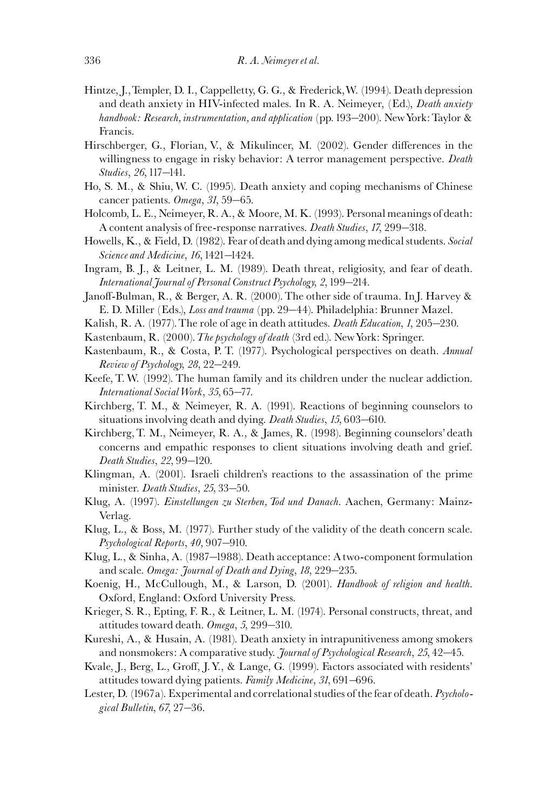- Hintze, J.,Templer, D. I., Cappelletty, G. G., & Frederick,W. (1994). Death depression and death anxiety in HIV-infected males. In R. A. Neimeyer, (Ed.), Death anxiety handbook: Research, instrumentation, and application (pp. 193-200). New York: Taylor & Francis.
- Hirschberger, G., Florian, V., & Mikulincer, M. (2002). Gender differences in the willingness to engage in risky behavior: A terror management perspective. Death Studies, 26, 117–141.
- Ho, S. M., & Shiu, W. C. (1995). Death anxiety and coping mechanisms of Chinese cancer patients. Omega, 31, 59-65.
- Holcomb, L. E., Neimeyer, R. A., & Moore, M. K. (1993). Personal meanings of death: A content analysis of free-response narratives. Death Studies, 17, 299-318.
- Howells, K., & Field, D. (1982). Fear of death and dying among medical students. Social Science and Medicine, 16, 1421-1424.
- Ingram, B. J., & Leitner, L. M. (1989). Death threat, religiosity, and fear of death. International Journal of Personal Construct Psychology, 2, 199-214.
- Janoff-Bulman, R., & Berger, A. R. (2000). The other side of trauma. In J. Harvey & E. D. Miller (Eds.), Loss and trauma (pp. 29–44). Philadelphia: Brunner Mazel.
- Kalish, R. A. (1977). The role of age in death attitudes. *Death Education*, 1, 205–230.
- Kastenbaum, R. (2000). The psychology of death (3rd ed.). New York: Springer.
- Kastenbaum, R., & Costa, P. T. (1977). Psychological perspectives on death. Annual Review of Psychology,  $28, 22-249$ .
- Keefe, T. W. (1992). The human family and its children under the nuclear addiction. International Social Work, 35, 65-77.
- Kirchberg, T. M., & Neimeyer, R. A. (1991). Reactions of beginning counselors to situations involving death and dying. Death Studies, 15, 603–610.
- Kirchberg, T. M., Neimeyer, R. A., & James, R. (1998). Beginning counselors' death concerns and empathic responses to client situations involving death and grief. Death Studies, 22, 99-120.
- Klingman, A. (2001). Israeli children's reactions to the assassination of the prime minister. Death Studies, 25, 33-50.
- Klug, A. (1997). Einstellungen zu Sterben, Tod und Danach. Aachen, Germany: Mainz-Verlag.
- Klug, L., & Boss, M. (1977). Further study of the validity of the death concern scale. Psychological Reports, 40, 907-910.
- Klug, L., & Sinha, A. (1987–1988). Death acceptance: A two-component formulation and scale. Omega: Journal of Death and Dying, 18, 229-235.
- Koenig, H., McCullough, M., & Larson, D. (2001). Handbook of religion and health. Oxford, England: Oxford University Press.
- Krieger, S. R., Epting, F. R., & Leitner, L. M. (1974). Personal constructs, threat, and attitudes toward death. Omega,  $5$ , 299-310.
- Kureshi, A., & Husain, A. (1981). Death anxiety in intrapunitiveness among smokers and nonsmokers: A comparative study. Journal of Psychological Research, 25, 42-45.
- Kvale, J., Berg, L., Groff, J.Y., & Lange, G. (1999). Factors associated with residents' attitudes toward dying patients. Family Medicine, 31, 691-696.
- Lester, D. (1967a). Experimental and correlational studies of the fear of death. Psychological Bulletin,  $67, 27-36$ .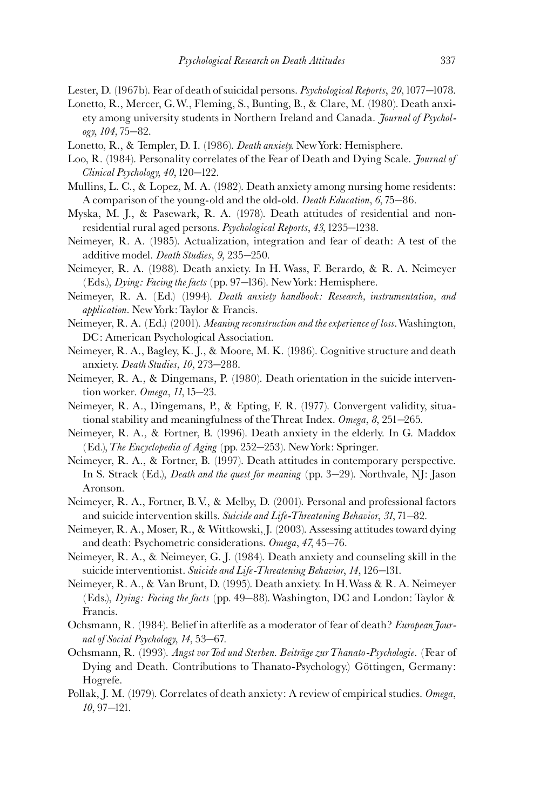Lester, D. (1967b). Fear of death of suicidal persons. Psychological Reports, 20, 1077-1078.

- Lonetto, R., Mercer, G.W., Fleming, S., Bunting, B., & Clare, M. (1980). Death anxiety among university students in Northern Ireland and Canada. Journal of Psychology, 104, 75-82.
- Lonetto, R., & Templer, D. I. (1986). Death anxiety. NewYork: Hemisphere.
- Loo, R. (1984). Personality correlates of the Fear of Death and Dying Scale. Journal of  $Clinical Psychology, 40, 120–122.$
- Mullins, L. C., & Lopez, M. A. (1982). Death anxiety among nursing home residents: A comparison of the young-old and the old-old. Death Education, 6, 75-86.
- Myska, M. J., & Pasewark, R. A. (1978). Death attitudes of residential and nonresidential rural aged persons. Psychological Reports, 43, 1235-1238.
- Neimeyer, R. A. (1985). Actualization, integration and fear of death: A test of the additive model. Death Studies, 9, 235-250.
- Neimeyer, R. A. (1988). Death anxiety. In H. Wass, F. Berardo, & R. A. Neimeyer (Eds.), Dying: Facing the facts (pp. 97-136). New York: Hemisphere.
- Neimeyer, R. A. (Ed.) (1994). Death anxiety handbook: Research, instrumentation, and application. NewYork: Taylor & Francis.
- Neimeyer, R. A. (Ed.) (2001). Meaning reconstruction and the experience of loss. Washington, DC: American Psychological Association.
- Neimeyer, R. A., Bagley, K. J., & Moore, M. K. (1986). Cognitive structure and death anxiety. Death Studies, 10, 273-288.
- Neimeyer, R. A., & Dingemans, P. (1980). Death orientation in the suicide intervention worker. Omega, 11, 15-23.
- Neimeyer, R. A., Dingemans, P., & Epting, F. R. (1977). Convergent validity, situational stability and meaningfulness of the Threat Index. Omega,  $8$ ,  $251-265$ .
- Neimeyer, R. A., & Fortner, B. (1996). Death anxiety in the elderly. In G. Maddox (Ed.), The Encyclopedia of Aging (pp. 252-253). New York: Springer.
- Neimeyer, R. A., & Fortner, B. (1997). Death attitudes in contemporary perspective. In S. Strack (Ed.), Death and the quest for meaning (pp. 3-29). Northvale, NJ: Jason Aronson.
- Neimeyer, R. A., Fortner, B.V., & Melby, D. (2001). Personal and professional factors and suicide intervention skills. Suicide and Life-Threatening Behavior, 31, 71-82.
- Neimeyer, R. A., Moser, R., & Wittkowski, J. (2003). Assessing attitudes toward dying and death: Psychometric considerations. Omega, 47, 45-76.
- Neimeyer, R. A., & Neimeyer, G. J. (1984). Death anxiety and counseling skill in the suicide interventionist. Suicide and Life-Threatening Behavior, 14, 126-131.
- Neimeyer, R. A., & Van Brunt, D. (1995). Death anxiety. In H.Wass & R. A. Neimeyer (Eds.), Dying: Facing the facts (pp. 49-88). Washington, DC and London: Taylor & Francis.
- Ochsmann, R. (1984). Belief in afterlife as a moderator of fear of death? European Journal of Social Psychology, 14, 53-67.
- Ochsmann, R. (1993). Angst vor Tod und Sterben. Beiträge zur Thanato-Psychologie. (Fear of Dying and Death. Contributions to Thanato-Psychology.) Göttingen, Germany: Hogrefe.
- Pollak, J. M. (1979). Correlates of death anxiety: A review of empirical studies. Omega,  $10, 97 - 121.$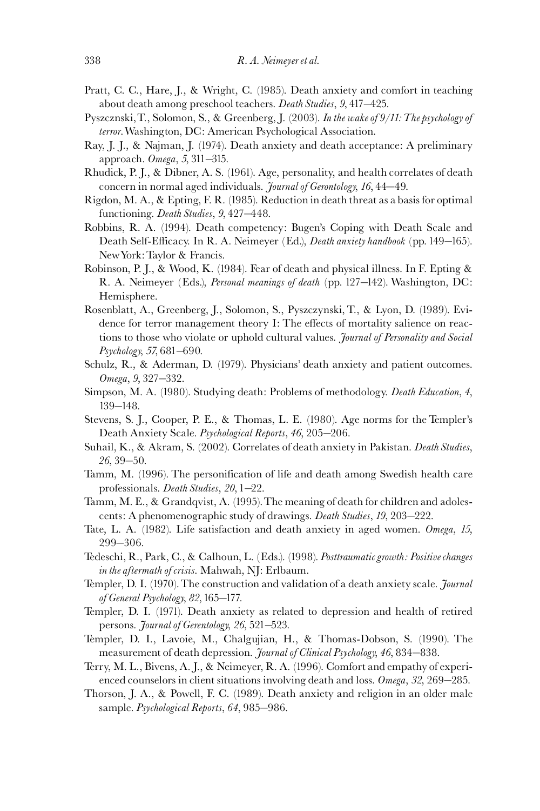- Pratt, C. C., Hare, J., & Wright, C. (1985). Death anxiety and comfort in teaching about death among preschool teachers. Death Studies, 9, 417-425.
- Pyszcznski, T., Solomon, S., & Greenberg, J. (2003). In the wake of 9/11: The psychology of terror.Washington, DC: American Psychological Association.
- Ray, J. J., & Najman, J. (1974). Death anxiety and death acceptance: A preliminary approach.  $Omega$ , 5, 311-315.
- Rhudick, P. J., & Dibner, A. S. (1961). Age, personality, and health correlates of death concern in normal aged individuals. Journal of Gerontology, 16, 44-49.
- Rigdon, M. A., & Epting, F. R. (1985). Reduction in death threat as a basis for optimal functioning. Death Studies, 9, 427-448.
- Robbins, R. A. (1994). Death competency: Bugen's Coping with Death Scale and Death Self-Efficacy. In R. A. Neimeyer (Ed.), Death anxiety handbook (pp. 149-165). NewYork: Taylor & Francis.
- Robinson, P. J., & Wood, K. (1984). Fear of death and physical illness. In F. Epting & R. A. Neimeyer (Eds.), Personal meanings of death (pp. 127-142). Washington, DC: Hemisphere.
- Rosenblatt, A., Greenberg, J., Solomon, S., Pyszczynski, T., & Lyon, D. (1989). Evidence for terror management theory I: The effects of mortality salience on reactions to those who violate or uphold cultural values. Journal of Personality and Social Psychology, 57, 681–690.
- Schulz, R., & Aderman, D. (1979). Physicians' death anxiety and patient outcomes. Omega, 9, 327-332.
- Simpson, M. A. (1980). Studying death: Problems of methodology. Death Education, 4, 139-148.
- Stevens, S. J., Cooper, P. E., & Thomas, L. E. (1980). Age norms for the Templer's Death Anxiety Scale. Psychological Reports, 46, 205-206.
- Suhail, K., & Akram, S. (2002). Correlates of death anxiety in Pakistan. Death Studies,  $26, 39 - 50.$
- Tamm, M. (1996). The personification of life and death among Swedish health care professionals. Death Studies, 20, 1-22.
- Tamm, M. E., & Grandqvist, A. (1995).The meaning of death for children and adolescents: A phenomenographic study of drawings. *Death Studies*, 19, 203–222.
- Tate, L. A. (1982). Life satisfaction and death anxiety in aged women. Omega, 15, 299-306.
- Tedeschi, R., Park, C., & Calhoun, L. (Eds.). (1998). Posttraumatic growth: Positive changes in the aftermath of crisis. Mahwah, NJ: Erlbaum.
- Templer, D. I. (1970). The construction and validation of a death anxiety scale. Journal of General Psychology, 82, 165-177.
- Templer, D. I. (1971). Death anxiety as related to depression and health of retired persons. Journal of Gerentology, 26, 521-523.
- Templer, D. I., Lavoie, M., Chalgujian, H., & Thomas-Dobson, S. (1990). The measurement of death depression. Journal of Clinical Psychology, 46, 834-838.
- Terry, M. L., Bivens, A. J., & Neimeyer, R. A. (1996). Comfort and empathy of experienced counselors in client situations involving death and loss. Omega,  $32, 269-285$ .
- Thorson, J. A., & Powell, F. C. (1989). Death anxiety and religion in an older male sample. Psychological Reports, 64, 985–986.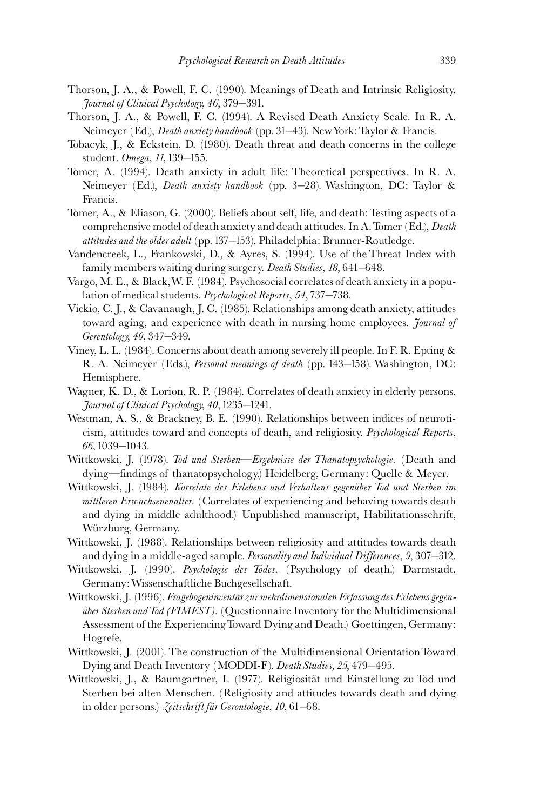- Thorson, J. A., & Powell, F. C. (1990). Meanings of Death and Intrinsic Religiosity. Journal of Clinical Psychology, 46, 379-391.
- Thorson, J. A., & Powell, F. C. (1994). A Revised Death Anxiety Scale. In R. A. Neimeyer (Ed.), *Death anxiety handbook* (pp. 31–43). New York: Taylor & Francis.
- Tobacyk, J., & Eckstein, D. (1980). Death threat and death concerns in the college student. Omega, 11, 139-155.
- Tomer, A. (1994). Death anxiety in adult life: Theoretical perspectives. In R. A. Neimeyer (Ed.), *Death anxiety handbook* (pp. 3-28). Washington, DC: Taylor & Francis.
- Tomer, A., & Eliason, G. (2000). Beliefs about self, life, and death: Testing aspects of a comprehensive model of death anxiety and death attitudes. In A.Tomer (Ed.), Death attitudes and the older adult (pp. 137-153). Philadelphia: Brunner-Routledge.
- Vandencreek, L., Frankowski, D., & Ayres, S. (1994). Use of the Threat Index with family members waiting during surgery. Death Studies, 18, 641-648.
- Vargo, M. E., & Black,W. F. (1984). Psychosocial correlates of death anxiety in a population of medical students. Psychological Reports, 54, 737-738.
- Vickio, C. J., & Cavanaugh, J. C. (1985). Relationships among death anxiety, attitudes toward aging, and experience with death in nursing home employees. *Journal of* Gerentology, 40, 347–349.
- Viney, L. L. (1984). Concerns about death among severely ill people. In F. R. Epting & R. A. Neimeyer (Eds.), Personal meanings of death (pp. 143-158). Washington, DC: Hemisphere.
- Wagner, K. D., & Lorion, R. P. (1984). Correlates of death anxiety in elderly persons. Journal of Clinical Psychology, 40, 1235-1241.
- Westman, A. S., & Brackney, B. E. (1990). Relationships between indices of neuroticism, attitudes toward and concepts of death, and religiosity. Psychological Reports, 66, 1039-1043.
- Wittkowski, J. (1978). Tod und Sterben—Ergebnisse der Thanatopsychologie. (Death and dying-findings of thanatopsychology.) Heidelberg, Germany: Quelle & Meyer.
- Wittkowski, J. (1984). Korrelate des Erlebens und Verhaltens gegenüber Tod und Sterben im mittleren Erwachsenenalter. (Correlates of experiencing and behaving towards death and dying in middle adulthood.) Unpublished manuscript, Habilitationsschrift, Würzburg, Germany.
- Wittkowski, J. (1988). Relationships between religiosity and attitudes towards death and dying in a middle-aged sample. Personality and Individual Differences, 9, 307-312.
- Wittkowski, J. (1990). Psychologie des Todes. (Psychology of death.) Darmstadt, Germany:Wissenschaftliche Buchgesellschaft.
- Wittkowski, J. (1996). Fragebogeninventar zur mehrdimensionalen Erfassung des Erlebens gegenüber Sterben und Tod (FIMEST). (Questionnaire Inventory for the Multidimensional Assessment of the ExperiencingToward Dying and Death.) Goettingen, Germany: Hogrefe.
- Wittkowski, J. (2001). The construction of the Multidimensional OrientationToward Dying and Death Inventory (MODDI-F). Death Studies, 25, 479–495.
- Wittkowski, J., & Baumgartner, I. (1977). Religiosität und Einstellung zu Tod und Sterben bei alten Menschen. (Religiosity and attitudes towards death and dying in older persons.)  $\zeta$ eitschrift für Gerontologie, 10, 61–68.